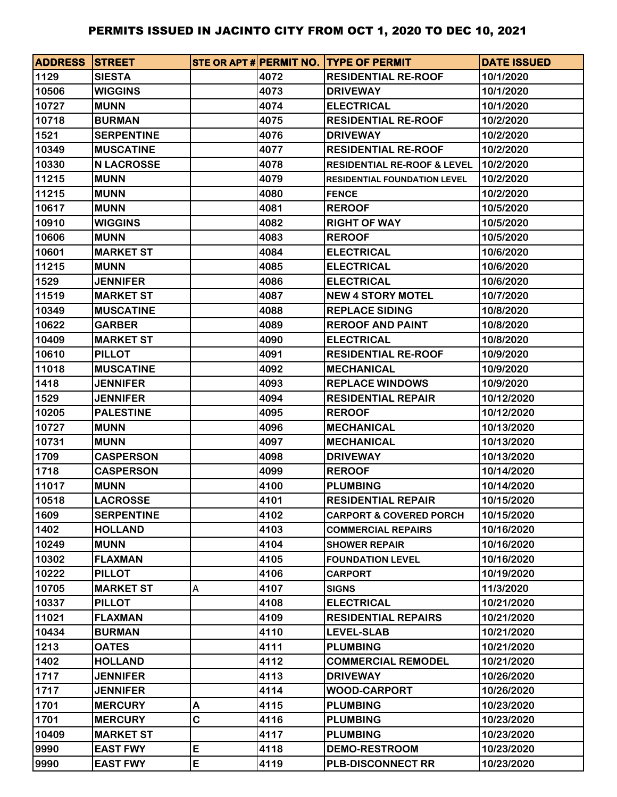| <b>ADDRESS STREET</b> |                   |   |      | STE OR APT # PERMIT NO. TYPE OF PERMIT | <b>DATE ISSUED</b> |
|-----------------------|-------------------|---|------|----------------------------------------|--------------------|
| 1129                  | <b>SIESTA</b>     |   | 4072 | <b>RESIDENTIAL RE-ROOF</b>             | 10/1/2020          |
| 10506                 | <b>WIGGINS</b>    |   | 4073 | <b>DRIVEWAY</b>                        | 10/1/2020          |
| 10727                 | <b>MUNN</b>       |   | 4074 | <b>ELECTRICAL</b>                      | 10/1/2020          |
| 10718                 | <b>BURMAN</b>     |   | 4075 | <b>RESIDENTIAL RE-ROOF</b>             | 10/2/2020          |
| 1521                  | <b>SERPENTINE</b> |   | 4076 | <b>DRIVEWAY</b>                        | 10/2/2020          |
| 10349                 | <b>MUSCATINE</b>  |   | 4077 | <b>RESIDENTIAL RE-ROOF</b>             | 10/2/2020          |
| 10330                 | <b>N LACROSSE</b> |   | 4078 | <b>RESIDENTIAL RE-ROOF &amp; LEVEL</b> | 10/2/2020          |
| 11215                 | <b>MUNN</b>       |   | 4079 | <b>RESIDENTIAL FOUNDATION LEVEL</b>    | 10/2/2020          |
| 11215                 | <b>MUNN</b>       |   | 4080 | <b>FENCE</b>                           | 10/2/2020          |
| 10617                 | <b>MUNN</b>       |   | 4081 | <b>REROOF</b>                          | 10/5/2020          |
| 10910                 | <b>WIGGINS</b>    |   | 4082 | <b>RIGHT OF WAY</b>                    | 10/5/2020          |
| 10606                 | <b>MUNN</b>       |   | 4083 | <b>REROOF</b>                          | 10/5/2020          |
| 10601                 | <b>MARKET ST</b>  |   | 4084 | <b>ELECTRICAL</b>                      | 10/6/2020          |
| 11215                 | <b>MUNN</b>       |   | 4085 | <b>ELECTRICAL</b>                      | 10/6/2020          |
| 1529                  | <b>JENNIFER</b>   |   | 4086 | <b>ELECTRICAL</b>                      | 10/6/2020          |
| 11519                 | <b>MARKET ST</b>  |   | 4087 | <b>NEW 4 STORY MOTEL</b>               | 10/7/2020          |
| 10349                 | <b>MUSCATINE</b>  |   | 4088 | <b>REPLACE SIDING</b>                  | 10/8/2020          |
| 10622                 | <b>GARBER</b>     |   | 4089 | <b>REROOF AND PAINT</b>                | 10/8/2020          |
| 10409                 | <b>MARKET ST</b>  |   | 4090 | <b>ELECTRICAL</b>                      | 10/8/2020          |
| 10610                 | <b>PILLOT</b>     |   | 4091 | <b>RESIDENTIAL RE-ROOF</b>             | 10/9/2020          |
| 11018                 | <b>MUSCATINE</b>  |   | 4092 | <b>MECHANICAL</b>                      | 10/9/2020          |
| 1418                  | <b>JENNIFER</b>   |   | 4093 | <b>REPLACE WINDOWS</b>                 | 10/9/2020          |
| 1529                  | <b>JENNIFER</b>   |   | 4094 | <b>RESIDENTIAL REPAIR</b>              | 10/12/2020         |
| 10205                 | <b>PALESTINE</b>  |   | 4095 | <b>REROOF</b>                          | 10/12/2020         |
| 10727                 | <b>MUNN</b>       |   | 4096 | <b>MECHANICAL</b>                      | 10/13/2020         |
| 10731                 | <b>MUNN</b>       |   | 4097 | <b>MECHANICAL</b>                      | 10/13/2020         |
| 1709                  | <b>CASPERSON</b>  |   | 4098 | <b>DRIVEWAY</b>                        | 10/13/2020         |
| 1718                  | <b>CASPERSON</b>  |   | 4099 | <b>REROOF</b>                          | 10/14/2020         |
| 11017                 | <b>MUNN</b>       |   | 4100 | <b>PLUMBING</b>                        | 10/14/2020         |
| 10518                 | <b>LACROSSE</b>   |   | 4101 | <b>RESIDENTIAL REPAIR</b>              | 10/15/2020         |
| 1609                  | <b>SERPENTINE</b> |   | 4102 | <b>CARPORT &amp; COVERED PORCH</b>     | 10/15/2020         |
| 1402                  | <b>HOLLAND</b>    |   | 4103 | <b>COMMERCIAL REPAIRS</b>              | 10/16/2020         |
| 10249                 | <b>MUNN</b>       |   | 4104 | <b>SHOWER REPAIR</b>                   | 10/16/2020         |
| 10302                 | <b>FLAXMAN</b>    |   | 4105 | <b>FOUNDATION LEVEL</b>                | 10/16/2020         |
| 10222                 | <b>PILLOT</b>     |   | 4106 | <b>CARPORT</b>                         | 10/19/2020         |
| 10705                 | <b>MARKET ST</b>  | A | 4107 | <b>SIGNS</b>                           | 11/3/2020          |
| 10337                 | <b>PILLOT</b>     |   | 4108 | <b>ELECTRICAL</b>                      | 10/21/2020         |
| 11021                 | <b>FLAXMAN</b>    |   | 4109 | <b>RESIDENTIAL REPAIRS</b>             | 10/21/2020         |
| 10434                 | <b>BURMAN</b>     |   | 4110 | <b>LEVEL-SLAB</b>                      | 10/21/2020         |
| 1213                  | <b>OATES</b>      |   | 4111 | <b>PLUMBING</b>                        | 10/21/2020         |
| 1402                  | <b>HOLLAND</b>    |   | 4112 | <b>COMMERCIAL REMODEL</b>              | 10/21/2020         |
| 1717                  | <b>JENNIFER</b>   |   | 4113 | <b>DRIVEWAY</b>                        | 10/26/2020         |
| 1717                  | <b>JENNIFER</b>   |   | 4114 | <b>WOOD-CARPORT</b>                    | 10/26/2020         |
| 1701                  | <b>MERCURY</b>    | Α | 4115 | <b>PLUMBING</b>                        | 10/23/2020         |
| 1701                  | <b>MERCURY</b>    | C | 4116 | <b>PLUMBING</b>                        | 10/23/2020         |
| 10409                 | <b>MARKET ST</b>  |   | 4117 | <b>PLUMBING</b>                        | 10/23/2020         |
| 9990                  | <b>EAST FWY</b>   | E | 4118 | <b>DEMO-RESTROOM</b>                   | 10/23/2020         |
| 9990                  | <b>EAST FWY</b>   | E | 4119 | <b>PLB-DISCONNECT RR</b>               | 10/23/2020         |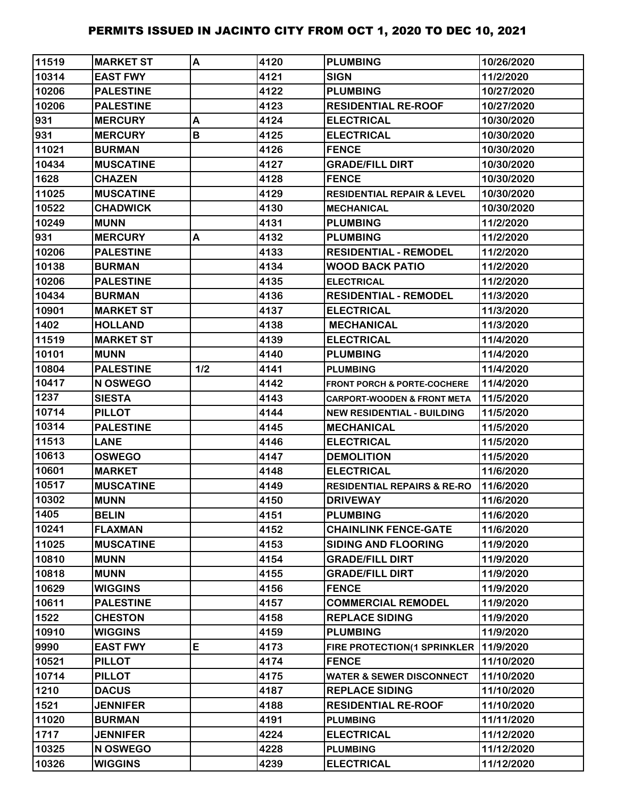| 11519 | <b>MARKET ST</b> | A   | 4120 | <b>PLUMBING</b>                        | 10/26/2020 |
|-------|------------------|-----|------|----------------------------------------|------------|
| 10314 | <b>EAST FWY</b>  |     | 4121 | <b>SIGN</b>                            | 11/2/2020  |
| 10206 | <b>PALESTINE</b> |     | 4122 | <b>PLUMBING</b>                        | 10/27/2020 |
| 10206 | <b>PALESTINE</b> |     | 4123 | <b>RESIDENTIAL RE-ROOF</b>             | 10/27/2020 |
| 931   | <b>MERCURY</b>   | A   | 4124 | <b>ELECTRICAL</b>                      | 10/30/2020 |
| 931   | <b>MERCURY</b>   | B   | 4125 | <b>ELECTRICAL</b>                      | 10/30/2020 |
| 11021 | <b>BURMAN</b>    |     | 4126 | <b>FENCE</b>                           | 10/30/2020 |
| 10434 | <b>MUSCATINE</b> |     | 4127 | <b>GRADE/FILL DIRT</b>                 | 10/30/2020 |
| 1628  | <b>CHAZEN</b>    |     | 4128 | <b>FENCE</b>                           | 10/30/2020 |
| 11025 | <b>MUSCATINE</b> |     | 4129 | <b>RESIDENTIAL REPAIR &amp; LEVEL</b>  | 10/30/2020 |
| 10522 | <b>CHADWICK</b>  |     | 4130 | <b>MECHANICAL</b>                      | 10/30/2020 |
| 10249 | <b>MUNN</b>      |     | 4131 | <b>PLUMBING</b>                        | 11/2/2020  |
| 931   | <b>MERCURY</b>   | A   | 4132 | <b>PLUMBING</b>                        | 11/2/2020  |
| 10206 | <b>PALESTINE</b> |     | 4133 | <b>RESIDENTIAL - REMODEL</b>           | 11/2/2020  |
| 10138 | <b>BURMAN</b>    |     | 4134 | <b>WOOD BACK PATIO</b>                 | 11/2/2020  |
| 10206 | <b>PALESTINE</b> |     | 4135 | <b>ELECTRICAL</b>                      | 11/2/2020  |
| 10434 | <b>BURMAN</b>    |     | 4136 | <b>RESIDENTIAL - REMODEL</b>           | 11/3/2020  |
| 10901 | <b>MARKET ST</b> |     | 4137 | <b>ELECTRICAL</b>                      | 11/3/2020  |
| 1402  | <b>HOLLAND</b>   |     | 4138 | <b>MECHANICAL</b>                      | 11/3/2020  |
| 11519 | <b>MARKET ST</b> |     | 4139 | <b>ELECTRICAL</b>                      | 11/4/2020  |
| 10101 | <b>MUNN</b>      |     | 4140 | <b>PLUMBING</b>                        | 11/4/2020  |
| 10804 | <b>PALESTINE</b> | 1/2 | 4141 | <b>PLUMBING</b>                        | 11/4/2020  |
| 10417 | N OSWEGO         |     | 4142 | <b>FRONT PORCH &amp; PORTE-COCHERE</b> | 11/4/2020  |
| 1237  | <b>SIESTA</b>    |     | 4143 | <b>CARPORT-WOODEN &amp; FRONT META</b> | 11/5/2020  |
| 10714 | <b>PILLOT</b>    |     | 4144 | <b>NEW RESIDENTIAL - BUILDING</b>      | 11/5/2020  |
| 10314 | <b>PALESTINE</b> |     | 4145 | <b>IMECHANICAL</b>                     | 11/5/2020  |
| 11513 | <b>LANE</b>      |     | 4146 | <b>ELECTRICAL</b>                      | 11/5/2020  |
| 10613 | <b>OSWEGO</b>    |     | 4147 | <b>DEMOLITION</b>                      | 11/5/2020  |
| 10601 | <b>MARKET</b>    |     | 4148 | <b>ELECTRICAL</b>                      | 11/6/2020  |
| 10517 | <b>MUSCATINE</b> |     | 4149 | <b>RESIDENTIAL REPAIRS &amp; RE-RO</b> | 11/6/2020  |
| 10302 | <b>MUNN</b>      |     | 4150 | <b>DRIVEWAY</b>                        | 11/6/2020  |
| 1405  | <b>BELIN</b>     |     | 4151 | <b>PLUMBING</b>                        | 11/6/2020  |
| 10241 | <b>FLAXMAN</b>   |     | 4152 | <b>CHAINLINK FENCE-GATE</b>            | 11/6/2020  |
| 11025 | <b>MUSCATINE</b> |     | 4153 | <b>SIDING AND FLOORING</b>             | 11/9/2020  |
| 10810 | <b>MUNN</b>      |     | 4154 | <b>GRADE/FILL DIRT</b>                 | 11/9/2020  |
| 10818 | <b>MUNN</b>      |     | 4155 | <b>GRADE/FILL DIRT</b>                 | 11/9/2020  |
| 10629 | <b>WIGGINS</b>   |     | 4156 | <b>FENCE</b>                           | 11/9/2020  |
| 10611 | <b>PALESTINE</b> |     | 4157 | <b>COMMERCIAL REMODEL</b>              | 11/9/2020  |
| 1522  | <b>CHESTON</b>   |     | 4158 | <b>REPLACE SIDING</b>                  | 11/9/2020  |
| 10910 | <b>WIGGINS</b>   |     | 4159 | <b>PLUMBING</b>                        | 11/9/2020  |
| 9990  | <b>EAST FWY</b>  | E   | 4173 | FIRE PROTECTION(1 SPRINKLER            | 11/9/2020  |
| 10521 | <b>PILLOT</b>    |     | 4174 | <b>FENCE</b>                           | 11/10/2020 |
| 10714 | <b>PILLOT</b>    |     | 4175 | <b>WATER &amp; SEWER DISCONNECT</b>    | 11/10/2020 |
| 1210  | <b>DACUS</b>     |     | 4187 | <b>REPLACE SIDING</b>                  | 11/10/2020 |
| 1521  | <b>JENNIFER</b>  |     | 4188 | <b>RESIDENTIAL RE-ROOF</b>             | 11/10/2020 |
| 11020 | <b>BURMAN</b>    |     | 4191 | <b>PLUMBING</b>                        | 11/11/2020 |
| 1717  | <b>JENNIFER</b>  |     | 4224 | <b>ELECTRICAL</b>                      | 11/12/2020 |
| 10325 | N OSWEGO         |     | 4228 | <b>PLUMBING</b>                        | 11/12/2020 |
| 10326 | <b>WIGGINS</b>   |     | 4239 | <b>ELECTRICAL</b>                      | 11/12/2020 |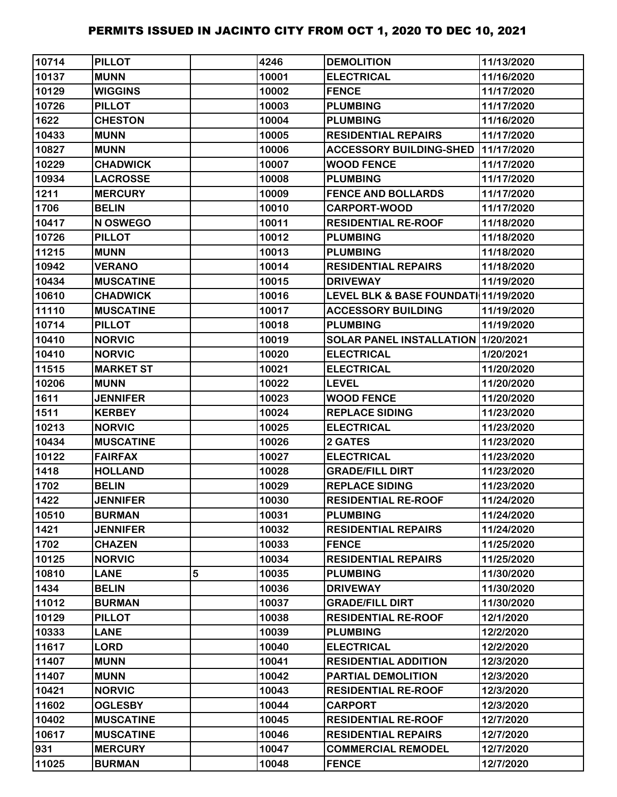| 10714 | <b>PILLOT</b>    |   | 4246  | <b>DEMOLITION</b>                    | 11/13/2020 |
|-------|------------------|---|-------|--------------------------------------|------------|
| 10137 | <b>MUNN</b>      |   | 10001 | <b>ELECTRICAL</b>                    | 11/16/2020 |
| 10129 | <b>WIGGINS</b>   |   | 10002 | <b>FENCE</b>                         | 11/17/2020 |
| 10726 | <b>PILLOT</b>    |   | 10003 | <b>PLUMBING</b>                      | 11/17/2020 |
| 1622  | <b>CHESTON</b>   |   | 10004 | <b>PLUMBING</b>                      | 11/16/2020 |
| 10433 | <b>MUNN</b>      |   | 10005 | <b>RESIDENTIAL REPAIRS</b>           | 11/17/2020 |
| 10827 | <b>MUNN</b>      |   | 10006 | <b>ACCESSORY BUILDING-SHED</b>       | 11/17/2020 |
| 10229 | <b>CHADWICK</b>  |   | 10007 | <b>WOOD FENCE</b>                    | 11/17/2020 |
| 10934 | <b>LACROSSE</b>  |   | 10008 | <b>PLUMBING</b>                      | 11/17/2020 |
| 1211  | <b>MERCURY</b>   |   | 10009 | <b>FENCE AND BOLLARDS</b>            | 11/17/2020 |
| 1706  | <b>BELIN</b>     |   | 10010 | <b>CARPORT-WOOD</b>                  | 11/17/2020 |
| 10417 | N OSWEGO         |   | 10011 | <b>RESIDENTIAL RE-ROOF</b>           | 11/18/2020 |
| 10726 | <b>PILLOT</b>    |   | 10012 | <b>PLUMBING</b>                      | 11/18/2020 |
| 11215 | <b>MUNN</b>      |   | 10013 | <b>PLUMBING</b>                      | 11/18/2020 |
| 10942 | <b>VERANO</b>    |   | 10014 | <b>RESIDENTIAL REPAIRS</b>           | 11/18/2020 |
| 10434 | <b>MUSCATINE</b> |   | 10015 | <b>DRIVEWAY</b>                      | 11/19/2020 |
| 10610 | <b>CHADWICK</b>  |   | 10016 | LEVEL BLK & BASE FOUNDATI 11/19/2020 |            |
| 11110 | <b>MUSCATINE</b> |   | 10017 | <b>ACCESSORY BUILDING</b>            | 11/19/2020 |
| 10714 | <b>PILLOT</b>    |   | 10018 | <b>PLUMBING</b>                      | 11/19/2020 |
| 10410 | <b>NORVIC</b>    |   | 10019 | SOLAR PANEL INSTALLATION 11/20/2021  |            |
| 10410 | <b>NORVIC</b>    |   | 10020 | <b>ELECTRICAL</b>                    | 1/20/2021  |
| 11515 | <b>MARKET ST</b> |   | 10021 | <b>ELECTRICAL</b>                    | 11/20/2020 |
| 10206 | <b>MUNN</b>      |   | 10022 | <b>LEVEL</b>                         | 11/20/2020 |
| 1611  | <b>JENNIFER</b>  |   | 10023 | <b>WOOD FENCE</b>                    | 11/20/2020 |
| 1511  | <b>KERBEY</b>    |   | 10024 | <b>REPLACE SIDING</b>                | 11/23/2020 |
| 10213 | <b>NORVIC</b>    |   | 10025 | <b>ELECTRICAL</b>                    | 11/23/2020 |
| 10434 | <b>MUSCATINE</b> |   | 10026 | 2 GATES                              | 11/23/2020 |
| 10122 | <b>FAIRFAX</b>   |   | 10027 | <b>ELECTRICAL</b>                    | 11/23/2020 |
| 1418  | <b>HOLLAND</b>   |   | 10028 | <b>GRADE/FILL DIRT</b>               | 11/23/2020 |
| 1702  | <b>BELIN</b>     |   | 10029 | <b>REPLACE SIDING</b>                | 11/23/2020 |
| 1422  | <b>JENNIFER</b>  |   | 10030 | <b>RESIDENTIAL RE-ROOF</b>           | 11/24/2020 |
| 10510 | <b>BURMAN</b>    |   | 10031 | <b>PLUMBING</b>                      | 11/24/2020 |
| 1421  | <b>JENNIFER</b>  |   | 10032 | <b>RESIDENTIAL REPAIRS</b>           | 11/24/2020 |
| 1702  | <b>CHAZEN</b>    |   | 10033 | <b>FENCE</b>                         | 11/25/2020 |
| 10125 | <b>NORVIC</b>    |   | 10034 | <b>RESIDENTIAL REPAIRS</b>           | 11/25/2020 |
| 10810 | <b>LANE</b>      | 5 | 10035 | <b>PLUMBING</b>                      | 11/30/2020 |
| 1434  | <b>BELIN</b>     |   | 10036 | <b>DRIVEWAY</b>                      | 11/30/2020 |
| 11012 | <b>BURMAN</b>    |   | 10037 | <b>GRADE/FILL DIRT</b>               | 11/30/2020 |
| 10129 | <b>PILLOT</b>    |   | 10038 | <b>RESIDENTIAL RE-ROOF</b>           | 12/1/2020  |
| 10333 | <b>LANE</b>      |   | 10039 | <b>PLUMBING</b>                      | 12/2/2020  |
| 11617 | <b>LORD</b>      |   | 10040 | <b>ELECTRICAL</b>                    | 12/2/2020  |
| 11407 | <b>MUNN</b>      |   | 10041 | <b>RESIDENTIAL ADDITION</b>          | 12/3/2020  |
| 11407 | <b>MUNN</b>      |   | 10042 | PARTIAL DEMOLITION                   | 12/3/2020  |
| 10421 | <b>NORVIC</b>    |   | 10043 | <b>RESIDENTIAL RE-ROOF</b>           | 12/3/2020  |
| 11602 | <b>OGLESBY</b>   |   | 10044 | <b>CARPORT</b>                       | 12/3/2020  |
| 10402 | <b>MUSCATINE</b> |   | 10045 | <b>RESIDENTIAL RE-ROOF</b>           | 12/7/2020  |
| 10617 | <b>MUSCATINE</b> |   | 10046 | <b>RESIDENTIAL REPAIRS</b>           | 12/7/2020  |
| 931   | <b>MERCURY</b>   |   | 10047 | <b>COMMERCIAL REMODEL</b>            | 12/7/2020  |
| 11025 | <b>BURMAN</b>    |   | 10048 | <b>FENCE</b>                         | 12/7/2020  |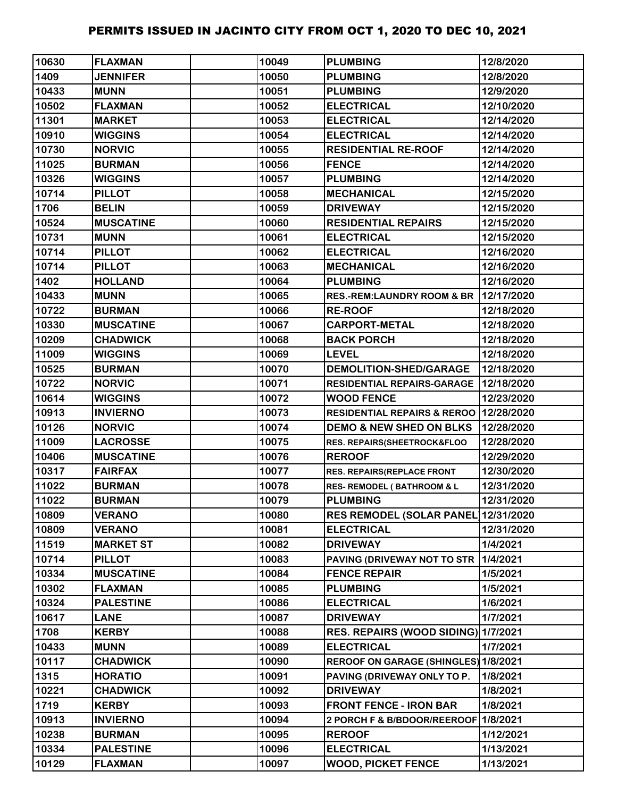| 10630 | <b>FLAXMAN</b>   | 10049 | <b>PLUMBING</b>                          | 12/8/2020  |
|-------|------------------|-------|------------------------------------------|------------|
| 1409  | <b>JENNIFER</b>  | 10050 | <b>PLUMBING</b>                          | 12/8/2020  |
| 10433 | <b>MUNN</b>      | 10051 | <b>PLUMBING</b>                          | 12/9/2020  |
| 10502 | <b>FLAXMAN</b>   | 10052 | <b>ELECTRICAL</b>                        | 12/10/2020 |
| 11301 | <b>MARKET</b>    | 10053 | <b>ELECTRICAL</b>                        | 12/14/2020 |
| 10910 | <b>WIGGINS</b>   | 10054 | <b>ELECTRICAL</b>                        | 12/14/2020 |
| 10730 | <b>NORVIC</b>    | 10055 | <b>RESIDENTIAL RE-ROOF</b>               | 12/14/2020 |
| 11025 | <b>BURMAN</b>    | 10056 | <b>FENCE</b>                             | 12/14/2020 |
| 10326 | <b>WIGGINS</b>   | 10057 | <b>PLUMBING</b>                          | 12/14/2020 |
| 10714 | <b>PILLOT</b>    | 10058 | <b>MECHANICAL</b>                        | 12/15/2020 |
| 1706  | <b>BELIN</b>     | 10059 | <b>DRIVEWAY</b>                          | 12/15/2020 |
| 10524 | <b>MUSCATINE</b> | 10060 | <b>RESIDENTIAL REPAIRS</b>               | 12/15/2020 |
| 10731 | <b>MUNN</b>      | 10061 | <b>ELECTRICAL</b>                        | 12/15/2020 |
| 10714 | <b>PILLOT</b>    | 10062 | <b>ELECTRICAL</b>                        | 12/16/2020 |
| 10714 | <b>PILLOT</b>    | 10063 | <b>MECHANICAL</b>                        | 12/16/2020 |
| 1402  | <b>HOLLAND</b>   | 10064 | <b>PLUMBING</b>                          | 12/16/2020 |
| 10433 | <b>MUNN</b>      | 10065 | <b>RES.-REM:LAUNDRY ROOM &amp; BR</b>    | 12/17/2020 |
| 10722 | <b>BURMAN</b>    | 10066 | <b>RE-ROOF</b>                           | 12/18/2020 |
| 10330 | <b>MUSCATINE</b> | 10067 | <b>CARPORT-METAL</b>                     | 12/18/2020 |
| 10209 | <b>CHADWICK</b>  | 10068 | <b>BACK PORCH</b>                        | 12/18/2020 |
| 11009 | <b>WIGGINS</b>   | 10069 | <b>LEVEL</b>                             | 12/18/2020 |
| 10525 | <b>BURMAN</b>    | 10070 | <b>DEMOLITION-SHED/GARAGE</b>            | 12/18/2020 |
| 10722 | <b>NORVIC</b>    | 10071 | <b>RESIDENTIAL REPAIRS-GARAGE</b>        | 12/18/2020 |
| 10614 | <b>WIGGINS</b>   | 10072 | <b>WOOD FENCE</b>                        | 12/23/2020 |
| 10913 | <b>INVIERNO</b>  | 10073 | RESIDENTIAL REPAIRS & REROO   12/28/2020 |            |
| 10126 | <b>NORVIC</b>    | 10074 | <b>DEMO &amp; NEW SHED ON BLKS</b>       | 12/28/2020 |
| 11009 | <b>LACROSSE</b>  | 10075 | RES. REPAIRS(SHEETROCK&FLOO              | 12/28/2020 |
| 10406 | <b>MUSCATINE</b> | 10076 | <b>REROOF</b>                            | 12/29/2020 |
| 10317 | <b>FAIRFAX</b>   | 10077 | RES. REPAIRS(REPLACE FRONT               | 12/30/2020 |
| 11022 | <b>BURMAN</b>    | 10078 | <b>RES- REMODEL (BATHROOM &amp; L</b>    | 12/31/2020 |
| 11022 | <b>BURMAN</b>    | 10079 | <b>PLUMBING</b>                          | 12/31/2020 |
| 10809 | <b>VERANO</b>    | 10080 | RES REMODEL (SOLAR PANEL 12/31/2020      |            |
| 10809 | <b>VERANO</b>    | 10081 | <b>ELECTRICAL</b>                        | 12/31/2020 |
| 11519 | <b>MARKET ST</b> | 10082 | <b>DRIVEWAY</b>                          | 1/4/2021   |
| 10714 | <b>PILLOT</b>    | 10083 | PAVING (DRIVEWAY NOT TO STR              | 1/4/2021   |
| 10334 | <b>MUSCATINE</b> | 10084 | <b>FENCE REPAIR</b>                      | 1/5/2021   |
| 10302 | <b>FLAXMAN</b>   | 10085 | <b>PLUMBING</b>                          | 1/5/2021   |
| 10324 | <b>PALESTINE</b> | 10086 | <b>ELECTRICAL</b>                        | 1/6/2021   |
| 10617 | <b>LANE</b>      | 10087 | <b>DRIVEWAY</b>                          | 1/7/2021   |
| 1708  | <b>KERBY</b>     | 10088 | RES. REPAIRS (WOOD SIDING) 1/7/2021      |            |
| 10433 | <b>MUNN</b>      | 10089 | <b>ELECTRICAL</b>                        | 1/7/2021   |
| 10117 | <b>CHADWICK</b>  | 10090 | REROOF ON GARAGE (SHINGLES) 1/8/2021     |            |
| 1315  | <b>HORATIO</b>   | 10091 | PAVING (DRIVEWAY ONLY TO P.              | 1/8/2021   |
| 10221 | <b>CHADWICK</b>  | 10092 | <b>DRIVEWAY</b>                          | 1/8/2021   |
| 1719  | <b>KERBY</b>     | 10093 | <b>FRONT FENCE - IRON BAR</b>            | 1/8/2021   |
| 10913 | <b>INVIERNO</b>  | 10094 | 2 PORCH F & B/BDOOR/REEROOF 1/8/2021     |            |
| 10238 | <b>BURMAN</b>    | 10095 | <b>REROOF</b>                            | 1/12/2021  |
| 10334 | <b>PALESTINE</b> | 10096 | <b>ELECTRICAL</b>                        | 1/13/2021  |
| 10129 | <b>FLAXMAN</b>   | 10097 | <b>WOOD, PICKET FENCE</b>                | 1/13/2021  |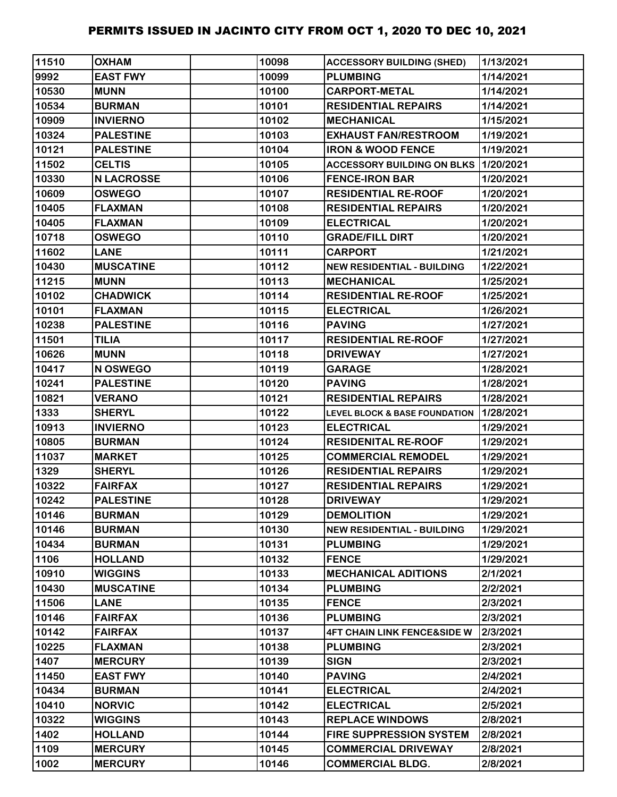| 11510 | <b>OXHAM</b>      | 10098 | <b>ACCESSORY BUILDING (SHED)</b>             | 1/13/2021 |
|-------|-------------------|-------|----------------------------------------------|-----------|
| 9992  | <b>EAST FWY</b>   | 10099 | <b>PLUMBING</b>                              | 1/14/2021 |
| 10530 | <b>MUNN</b>       | 10100 | <b>CARPORT-METAL</b>                         | 1/14/2021 |
| 10534 | <b>BURMAN</b>     | 10101 | <b>RESIDENTIAL REPAIRS</b>                   | 1/14/2021 |
| 10909 | <b>INVIERNO</b>   | 10102 | <b>MECHANICAL</b>                            | 1/15/2021 |
| 10324 | <b>PALESTINE</b>  | 10103 | <b>EXHAUST FAN/RESTROOM</b>                  | 1/19/2021 |
| 10121 | <b>PALESTINE</b>  | 10104 | <b>IRON &amp; WOOD FENCE</b>                 | 1/19/2021 |
| 11502 | <b>CELTIS</b>     | 10105 | <b>ACCESSORY BUILDING ON BLKS 11/20/2021</b> |           |
| 10330 | <b>N LACROSSE</b> | 10106 | <b>FENCE-IRON BAR</b>                        | 1/20/2021 |
| 10609 | <b>OSWEGO</b>     | 10107 | <b>RESIDENTIAL RE-ROOF</b>                   | 1/20/2021 |
| 10405 | <b>FLAXMAN</b>    | 10108 | <b>RESIDENTIAL REPAIRS</b>                   | 1/20/2021 |
| 10405 | <b>FLAXMAN</b>    | 10109 | <b>ELECTRICAL</b>                            | 1/20/2021 |
| 10718 | <b>OSWEGO</b>     | 10110 | <b>GRADE/FILL DIRT</b>                       | 1/20/2021 |
| 11602 | <b>LANE</b>       | 10111 | <b>CARPORT</b>                               | 1/21/2021 |
| 10430 | <b>MUSCATINE</b>  | 10112 | <b>NEW RESIDENTIAL - BUILDING</b>            | 1/22/2021 |
| 11215 | <b>MUNN</b>       | 10113 | <b>MECHANICAL</b>                            | 1/25/2021 |
| 10102 | <b>CHADWICK</b>   | 10114 | <b>RESIDENTIAL RE-ROOF</b>                   | 1/25/2021 |
| 10101 | <b>FLAXMAN</b>    | 10115 | <b>ELECTRICAL</b>                            | 1/26/2021 |
| 10238 | <b>PALESTINE</b>  | 10116 | <b>PAVING</b>                                | 1/27/2021 |
| 11501 | <b>TILIA</b>      | 10117 | <b>RESIDENTIAL RE-ROOF</b>                   | 1/27/2021 |
| 10626 | <b>MUNN</b>       | 10118 | <b>DRIVEWAY</b>                              | 1/27/2021 |
| 10417 | N OSWEGO          | 10119 | <b>GARAGE</b>                                | 1/28/2021 |
| 10241 | <b>PALESTINE</b>  | 10120 | <b>PAVING</b>                                | 1/28/2021 |
| 10821 | <b>VERANO</b>     | 10121 | <b>RESIDENTIAL REPAIRS</b>                   | 1/28/2021 |
| 1333  | <b>SHERYL</b>     | 10122 | LEVEL BLOCK & BASE FOUNDATION 1/28/2021      |           |
| 10913 | <b>INVIERNO</b>   | 10123 | <b>ELECTRICAL</b>                            | 1/29/2021 |
| 10805 | <b>BURMAN</b>     | 10124 | <b>RESIDENITAL RE-ROOF</b>                   | 1/29/2021 |
| 11037 | <b>MARKET</b>     | 10125 | <b>COMMERCIAL REMODEL</b>                    | 1/29/2021 |
| 1329  | <b>SHERYL</b>     | 10126 | <b>RESIDENTIAL REPAIRS</b>                   | 1/29/2021 |
| 10322 | <b>FAIRFAX</b>    | 10127 | <b>RESIDENTIAL REPAIRS</b>                   | 1/29/2021 |
| 10242 | <b>PALESTINE</b>  | 10128 | <b>DRIVEWAY</b>                              | 1/29/2021 |
| 10146 | <b>BURMAN</b>     | 10129 | <b>DEMOLITION</b>                            | 1/29/2021 |
| 10146 | <b>BURMAN</b>     | 10130 | <b>NEW RESIDENTIAL - BUILDING</b>            | 1/29/2021 |
| 10434 | <b>BURMAN</b>     | 10131 | <b>PLUMBING</b>                              | 1/29/2021 |
| 1106  | <b>HOLLAND</b>    | 10132 | <b>FENCE</b>                                 | 1/29/2021 |
| 10910 | <b>WIGGINS</b>    | 10133 | <b>MECHANICAL ADITIONS</b>                   | 2/1/2021  |
| 10430 | <b>MUSCATINE</b>  | 10134 | <b>PLUMBING</b>                              | 2/2/2021  |
| 11506 | <b>LANE</b>       | 10135 | <b>FENCE</b>                                 | 2/3/2021  |
| 10146 | <b>FAIRFAX</b>    | 10136 | <b>PLUMBING</b>                              | 2/3/2021  |
| 10142 | <b>FAIRFAX</b>    | 10137 | <b>4FT CHAIN LINK FENCE&amp;SIDE W</b>       | 2/3/2021  |
| 10225 | <b>FLAXMAN</b>    | 10138 | <b>PLUMBING</b>                              | 2/3/2021  |
| 1407  | <b>MERCURY</b>    | 10139 | <b>SIGN</b>                                  | 2/3/2021  |
| 11450 | <b>EAST FWY</b>   | 10140 | <b>PAVING</b>                                | 2/4/2021  |
| 10434 | <b>BURMAN</b>     | 10141 | <b>ELECTRICAL</b>                            | 2/4/2021  |
| 10410 | <b>NORVIC</b>     | 10142 | <b>ELECTRICAL</b>                            | 2/5/2021  |
| 10322 | <b>WIGGINS</b>    | 10143 | <b>REPLACE WINDOWS</b>                       | 2/8/2021  |
| 1402  | <b>HOLLAND</b>    | 10144 | <b>FIRE SUPPRESSION SYSTEM</b>               | 2/8/2021  |
| 1109  | <b>MERCURY</b>    | 10145 | <b>COMMERCIAL DRIVEWAY</b>                   | 2/8/2021  |
| 1002  | <b>MERCURY</b>    | 10146 | <b>COMMERCIAL BLDG.</b>                      | 2/8/2021  |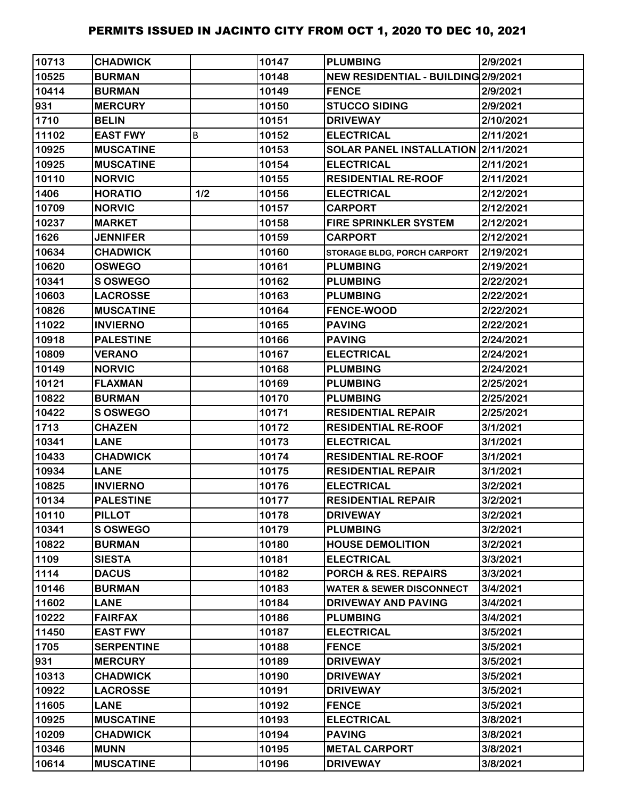| 10713 | <b>CHADWICK</b>   |     | 10147 | <b>PLUMBING</b>                     | 2/9/2021  |
|-------|-------------------|-----|-------|-------------------------------------|-----------|
| 10525 | <b>BURMAN</b>     |     | 10148 | NEW RESIDENTIAL - BUILDING 2/9/2021 |           |
| 10414 | <b>BURMAN</b>     |     | 10149 | <b>FENCE</b>                        | 2/9/2021  |
| 931   | <b>MERCURY</b>    |     | 10150 | <b>STUCCO SIDING</b>                | 2/9/2021  |
| 1710  | <b>BELIN</b>      |     | 10151 | <b>DRIVEWAY</b>                     | 2/10/2021 |
| 11102 | <b>EAST FWY</b>   | B   | 10152 | <b>ELECTRICAL</b>                   | 2/11/2021 |
| 10925 | <b>MUSCATINE</b>  |     | 10153 | SOLAR PANEL INSTALLATION 2/11/2021  |           |
| 10925 | <b>MUSCATINE</b>  |     | 10154 | <b>ELECTRICAL</b>                   | 2/11/2021 |
| 10110 | <b>NORVIC</b>     |     | 10155 | <b>RESIDENTIAL RE-ROOF</b>          | 2/11/2021 |
| 1406  | <b>HORATIO</b>    | 1/2 | 10156 | <b>ELECTRICAL</b>                   | 2/12/2021 |
| 10709 | <b>NORVIC</b>     |     | 10157 | <b>CARPORT</b>                      | 2/12/2021 |
| 10237 | <b>MARKET</b>     |     | 10158 | <b>FIRE SPRINKLER SYSTEM</b>        | 2/12/2021 |
| 1626  | <b>JENNIFER</b>   |     | 10159 | <b>CARPORT</b>                      | 2/12/2021 |
| 10634 | <b>CHADWICK</b>   |     | 10160 | <b>STORAGE BLDG, PORCH CARPORT</b>  | 2/19/2021 |
| 10620 | <b>OSWEGO</b>     |     | 10161 | <b>PLUMBING</b>                     | 2/19/2021 |
| 10341 | <b>S OSWEGO</b>   |     | 10162 | <b>PLUMBING</b>                     | 2/22/2021 |
| 10603 | <b>LACROSSE</b>   |     | 10163 | <b>PLUMBING</b>                     | 2/22/2021 |
| 10826 | <b>MUSCATINE</b>  |     | 10164 | <b>FENCE-WOOD</b>                   | 2/22/2021 |
| 11022 | <b>INVIERNO</b>   |     | 10165 | <b>PAVING</b>                       | 2/22/2021 |
| 10918 | <b>PALESTINE</b>  |     | 10166 | <b>PAVING</b>                       | 2/24/2021 |
| 10809 | <b>VERANO</b>     |     | 10167 | <b>ELECTRICAL</b>                   | 2/24/2021 |
| 10149 | <b>NORVIC</b>     |     | 10168 | <b>PLUMBING</b>                     | 2/24/2021 |
| 10121 | <b>FLAXMAN</b>    |     | 10169 | <b>PLUMBING</b>                     | 2/25/2021 |
| 10822 | <b>BURMAN</b>     |     | 10170 | <b>PLUMBING</b>                     | 2/25/2021 |
| 10422 | <b>S OSWEGO</b>   |     | 10171 | <b>RESIDENTIAL REPAIR</b>           | 2/25/2021 |
| 1713  | <b>CHAZEN</b>     |     | 10172 | <b>RESIDENTIAL RE-ROOF</b>          | 3/1/2021  |
| 10341 | <b>LANE</b>       |     | 10173 | <b>ELECTRICAL</b>                   | 3/1/2021  |
| 10433 | <b>CHADWICK</b>   |     | 10174 | <b>RESIDENTIAL RE-ROOF</b>          | 3/1/2021  |
| 10934 | <b>LANE</b>       |     | 10175 | <b>RESIDENTIAL REPAIR</b>           | 3/1/2021  |
| 10825 | <b>INVIERNO</b>   |     | 10176 | <b>ELECTRICAL</b>                   | 3/2/2021  |
| 10134 | <b>PALESTINE</b>  |     | 10177 | <b>RESIDENTIAL REPAIR</b>           | 3/2/2021  |
| 10110 | <b>PILLOT</b>     |     | 10178 | <b>DRIVEWAY</b>                     | 3/2/2021  |
| 10341 | <b>S OSWEGO</b>   |     | 10179 | <b>PLUMBING</b>                     | 3/2/2021  |
| 10822 | <b>BURMAN</b>     |     | 10180 | <b>HOUSE DEMOLITION</b>             | 3/2/2021  |
| 1109  | <b>SIESTA</b>     |     | 10181 | <b>ELECTRICAL</b>                   | 3/3/2021  |
| 1114  | <b>DACUS</b>      |     | 10182 | <b>PORCH &amp; RES. REPAIRS</b>     | 3/3/2021  |
| 10146 | <b>BURMAN</b>     |     | 10183 | <b>WATER &amp; SEWER DISCONNECT</b> | 3/4/2021  |
| 11602 | <b>LANE</b>       |     | 10184 | <b>DRIVEWAY AND PAVING</b>          | 3/4/2021  |
| 10222 | <b>FAIRFAX</b>    |     | 10186 | <b>PLUMBING</b>                     | 3/4/2021  |
| 11450 | <b>EAST FWY</b>   |     | 10187 | <b>ELECTRICAL</b>                   | 3/5/2021  |
| 1705  | <b>SERPENTINE</b> |     | 10188 | <b>FENCE</b>                        | 3/5/2021  |
| 931   | <b>MERCURY</b>    |     | 10189 | <b>DRIVEWAY</b>                     | 3/5/2021  |
| 10313 | <b>CHADWICK</b>   |     | 10190 | <b>DRIVEWAY</b>                     | 3/5/2021  |
| 10922 | <b>LACROSSE</b>   |     | 10191 | <b>DRIVEWAY</b>                     | 3/5/2021  |
| 11605 | <b>LANE</b>       |     | 10192 | <b>FENCE</b>                        | 3/5/2021  |
| 10925 | <b>MUSCATINE</b>  |     | 10193 | <b>ELECTRICAL</b>                   | 3/8/2021  |
| 10209 | <b>CHADWICK</b>   |     | 10194 | <b>PAVING</b>                       | 3/8/2021  |
| 10346 | <b>MUNN</b>       |     | 10195 | <b>METAL CARPORT</b>                | 3/8/2021  |
| 10614 | <b>MUSCATINE</b>  |     | 10196 | <b>DRIVEWAY</b>                     | 3/8/2021  |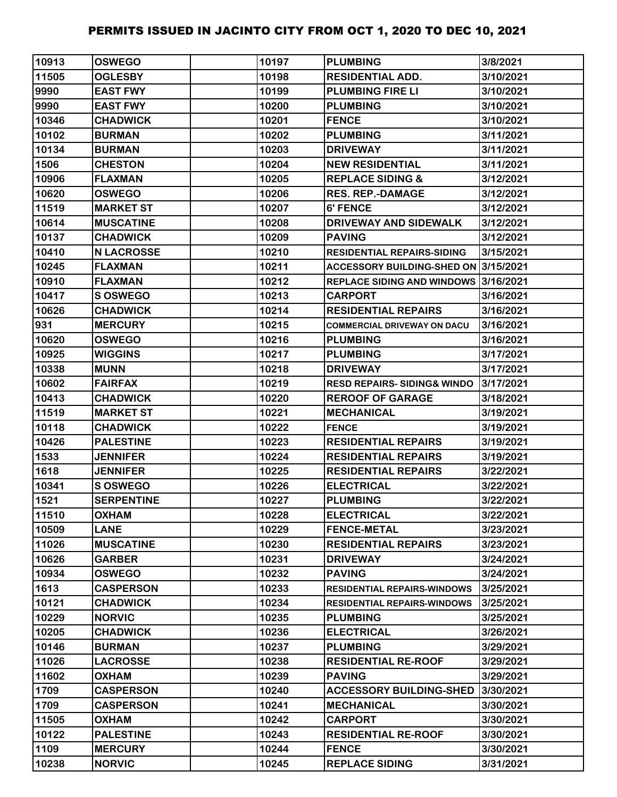| 10913 | <b>OSWEGO</b>     | 10197 | <b>PLUMBING</b>                       | 3/8/2021  |
|-------|-------------------|-------|---------------------------------------|-----------|
| 11505 | <b>OGLESBY</b>    | 10198 | <b>RESIDENTIAL ADD.</b>               | 3/10/2021 |
| 9990  | <b>EAST FWY</b>   | 10199 | <b>PLUMBING FIRE LI</b>               | 3/10/2021 |
| 9990  | <b>EAST FWY</b>   | 10200 | <b>PLUMBING</b>                       | 3/10/2021 |
| 10346 | <b>CHADWICK</b>   | 10201 | <b>FENCE</b>                          | 3/10/2021 |
| 10102 | <b>BURMAN</b>     | 10202 | <b>PLUMBING</b>                       | 3/11/2021 |
| 10134 | <b>BURMAN</b>     | 10203 | <b>DRIVEWAY</b>                       | 3/11/2021 |
| 1506  | <b>CHESTON</b>    | 10204 | <b>NEW RESIDENTIAL</b>                | 3/11/2021 |
| 10906 | <b>FLAXMAN</b>    | 10205 | <b>REPLACE SIDING &amp;</b>           | 3/12/2021 |
| 10620 | <b>OSWEGO</b>     | 10206 | <b>RES. REP.-DAMAGE</b>               | 3/12/2021 |
| 11519 | <b>MARKET ST</b>  | 10207 | 6' FENCE                              | 3/12/2021 |
| 10614 | <b>MUSCATINE</b>  | 10208 | DRIVEWAY AND SIDEWALK                 | 3/12/2021 |
| 10137 | <b>CHADWICK</b>   | 10209 | <b>PAVING</b>                         | 3/12/2021 |
| 10410 | <b>N LACROSSE</b> | 10210 | <b>RESIDENTIAL REPAIRS-SIDING</b>     | 3/15/2021 |
| 10245 | <b>FLAXMAN</b>    | 10211 | ACCESSORY BUILDING-SHED ON 3/15/2021  |           |
| 10910 | <b>FLAXMAN</b>    | 10212 | REPLACE SIDING AND WINDOWS 3/16/2021  |           |
| 10417 | S OSWEGO          | 10213 | <b>CARPORT</b>                        | 3/16/2021 |
| 10626 | <b>CHADWICK</b>   | 10214 | <b>RESIDENTIAL REPAIRS</b>            | 3/16/2021 |
| 931   | <b>MERCURY</b>    | 10215 | <b>COMMERCIAL DRIVEWAY ON DACU</b>    | 3/16/2021 |
| 10620 | <b>OSWEGO</b>     | 10216 | <b>PLUMBING</b>                       | 3/16/2021 |
| 10925 | <b>WIGGINS</b>    | 10217 | <b>PLUMBING</b>                       | 3/17/2021 |
| 10338 | <b>MUNN</b>       | 10218 | <b>DRIVEWAY</b>                       | 3/17/2021 |
| 10602 | <b>FAIRFAX</b>    | 10219 | <b>RESD REPAIRS-SIDING&amp; WINDO</b> | 3/17/2021 |
| 10413 | <b>CHADWICK</b>   | 10220 | <b>REROOF OF GARAGE</b>               | 3/18/2021 |
| 11519 | <b>MARKET ST</b>  | 10221 | <b>MECHANICAL</b>                     | 3/19/2021 |
| 10118 | <b>CHADWICK</b>   | 10222 | <b>FENCE</b>                          | 3/19/2021 |
| 10426 | <b>PALESTINE</b>  | 10223 | <b>RESIDENTIAL REPAIRS</b>            | 3/19/2021 |
| 1533  | <b>JENNIFER</b>   | 10224 | <b>RESIDENTIAL REPAIRS</b>            | 3/19/2021 |
| 1618  | <b>JENNIFER</b>   | 10225 | <b>RESIDENTIAL REPAIRS</b>            | 3/22/2021 |
| 10341 | S OSWEGO          | 10226 | <b>ELECTRICAL</b>                     | 3/22/2021 |
| 1521  | <b>SERPENTINE</b> | 10227 | <b>PLUMBING</b>                       | 3/22/2021 |
| 11510 | <b>OXHAM</b>      | 10228 | <b>ELECTRICAL</b>                     | 3/22/2021 |
| 10509 | <b>LANE</b>       | 10229 | <b>FENCE-METAL</b>                    | 3/23/2021 |
| 11026 | <b>MUSCATINE</b>  | 10230 | <b>RESIDENTIAL REPAIRS</b>            | 3/23/2021 |
| 10626 | <b>GARBER</b>     | 10231 | <b>DRIVEWAY</b>                       | 3/24/2021 |
| 10934 | <b>OSWEGO</b>     | 10232 | <b>PAVING</b>                         | 3/24/2021 |
| 1613  | <b>CASPERSON</b>  | 10233 | <b>RESIDENTIAL REPAIRS-WINDOWS</b>    | 3/25/2021 |
| 10121 | <b>CHADWICK</b>   | 10234 | <b>RESIDENTIAL REPAIRS-WINDOWS</b>    | 3/25/2021 |
| 10229 | <b>NORVIC</b>     | 10235 | <b>PLUMBING</b>                       | 3/25/2021 |
| 10205 | <b>CHADWICK</b>   | 10236 | <b>ELECTRICAL</b>                     | 3/26/2021 |
| 10146 | <b>BURMAN</b>     | 10237 | <b>PLUMBING</b>                       | 3/29/2021 |
| 11026 | <b>LACROSSE</b>   | 10238 | <b>RESIDENTIAL RE-ROOF</b>            | 3/29/2021 |
| 11602 | <b>OXHAM</b>      | 10239 | <b>PAVING</b>                         | 3/29/2021 |
| 1709  | <b>CASPERSON</b>  | 10240 | <b>ACCESSORY BUILDING-SHED</b>        | 3/30/2021 |
| 1709  | <b>CASPERSON</b>  | 10241 | <b>MECHANICAL</b>                     | 3/30/2021 |
| 11505 | <b>OXHAM</b>      | 10242 | <b>CARPORT</b>                        | 3/30/2021 |
| 10122 | <b>PALESTINE</b>  | 10243 | <b>RESIDENTIAL RE-ROOF</b>            | 3/30/2021 |
| 1109  | <b>MERCURY</b>    | 10244 | <b>FENCE</b>                          | 3/30/2021 |
| 10238 | <b>NORVIC</b>     | 10245 | <b>REPLACE SIDING</b>                 | 3/31/2021 |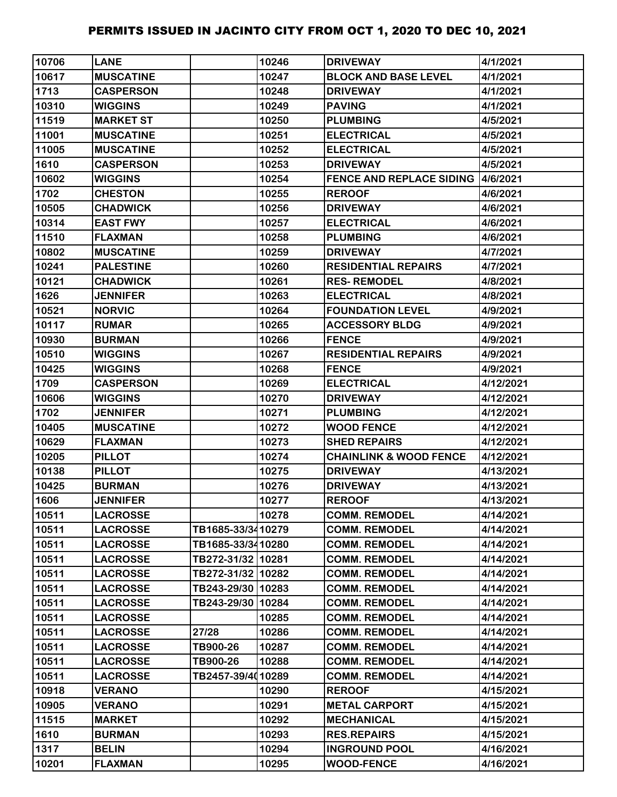| 10706 | <b>LANE</b>      |                   | 10246 | <b>DRIVEWAY</b>                          | 4/1/2021  |
|-------|------------------|-------------------|-------|------------------------------------------|-----------|
| 10617 | <b>MUSCATINE</b> |                   | 10247 | <b>BLOCK AND BASE LEVEL</b>              | 4/1/2021  |
| 1713  | <b>CASPERSON</b> |                   | 10248 | <b>DRIVEWAY</b>                          | 4/1/2021  |
| 10310 | <b>WIGGINS</b>   |                   | 10249 | <b>PAVING</b>                            | 4/1/2021  |
| 11519 | <b>MARKET ST</b> |                   | 10250 | <b>PLUMBING</b>                          | 4/5/2021  |
| 11001 | <b>MUSCATINE</b> |                   | 10251 | <b>ELECTRICAL</b>                        | 4/5/2021  |
| 11005 | <b>MUSCATINE</b> |                   | 10252 | <b>ELECTRICAL</b>                        | 4/5/2021  |
| 1610  | <b>CASPERSON</b> |                   | 10253 | <b>DRIVEWAY</b>                          | 4/5/2021  |
| 10602 | <b>WIGGINS</b>   |                   | 10254 | <b>FENCE AND REPLACE SIDING 4/6/2021</b> |           |
| 1702  | <b>CHESTON</b>   |                   | 10255 | <b>REROOF</b>                            | 4/6/2021  |
| 10505 | <b>CHADWICK</b>  |                   | 10256 | <b>DRIVEWAY</b>                          | 4/6/2021  |
| 10314 | <b>EAST FWY</b>  |                   | 10257 | <b>ELECTRICAL</b>                        | 4/6/2021  |
| 11510 | <b>FLAXMAN</b>   |                   | 10258 | <b>PLUMBING</b>                          | 4/6/2021  |
| 10802 | <b>MUSCATINE</b> |                   | 10259 | <b>DRIVEWAY</b>                          | 4/7/2021  |
| 10241 | <b>PALESTINE</b> |                   | 10260 | <b>RESIDENTIAL REPAIRS</b>               | 4/7/2021  |
| 10121 | <b>CHADWICK</b>  |                   | 10261 | <b>RES-REMODEL</b>                       | 4/8/2021  |
| 1626  | <b>JENNIFER</b>  |                   | 10263 | <b>ELECTRICAL</b>                        | 4/8/2021  |
| 10521 | <b>NORVIC</b>    |                   | 10264 | <b>FOUNDATION LEVEL</b>                  | 4/9/2021  |
| 10117 | <b>RUMAR</b>     |                   | 10265 | <b>ACCESSORY BLDG</b>                    | 4/9/2021  |
| 10930 | <b>BURMAN</b>    |                   | 10266 | <b>FENCE</b>                             | 4/9/2021  |
| 10510 | <b>WIGGINS</b>   |                   | 10267 | <b>RESIDENTIAL REPAIRS</b>               | 4/9/2021  |
| 10425 | <b>WIGGINS</b>   |                   | 10268 | <b>FENCE</b>                             | 4/9/2021  |
| 1709  | <b>CASPERSON</b> |                   | 10269 | <b>ELECTRICAL</b>                        | 4/12/2021 |
| 10606 | <b>WIGGINS</b>   |                   | 10270 | <b>DRIVEWAY</b>                          | 4/12/2021 |
| 1702  | <b>JENNIFER</b>  |                   | 10271 | <b>PLUMBING</b>                          | 4/12/2021 |
| 10405 | <b>MUSCATINE</b> |                   | 10272 | <b>WOOD FENCE</b>                        | 4/12/2021 |
| 10629 | <b>FLAXMAN</b>   |                   | 10273 | <b>SHED REPAIRS</b>                      | 4/12/2021 |
| 10205 | <b>PILLOT</b>    |                   | 10274 | <b>CHAINLINK &amp; WOOD FENCE</b>        | 4/12/2021 |
| 10138 | <b>PILLOT</b>    |                   | 10275 | <b>DRIVEWAY</b>                          | 4/13/2021 |
| 10425 | <b>BURMAN</b>    |                   | 10276 | <b>DRIVEWAY</b>                          | 4/13/2021 |
| 1606  | <b>JENNIFER</b>  |                   | 10277 | <b>REROOF</b>                            | 4/13/2021 |
| 10511 | <b>LACROSSE</b>  |                   | 10278 | <b>COMM. REMODEL</b>                     | 4/14/2021 |
| 10511 | <b>LACROSSE</b>  | TB1685-33/3410279 |       | <b>COMM. REMODEL</b>                     | 4/14/2021 |
| 10511 | <b>LACROSSE</b>  | TB1685-33/3410280 |       | <b>COMM. REMODEL</b>                     | 4/14/2021 |
| 10511 | <b>LACROSSE</b>  | TB272-31/32 10281 |       | <b>COMM. REMODEL</b>                     | 4/14/2021 |
| 10511 | <b>LACROSSE</b>  | TB272-31/32 10282 |       | <b>COMM. REMODEL</b>                     | 4/14/2021 |
| 10511 | <b>LACROSSE</b>  | TB243-29/30 10283 |       | <b>COMM. REMODEL</b>                     | 4/14/2021 |
| 10511 | <b>LACROSSE</b>  | TB243-29/30 10284 |       | <b>COMM. REMODEL</b>                     | 4/14/2021 |
| 10511 | <b>LACROSSE</b>  |                   | 10285 | <b>COMM. REMODEL</b>                     | 4/14/2021 |
| 10511 | <b>LACROSSE</b>  | 27/28             | 10286 | <b>COMM. REMODEL</b>                     | 4/14/2021 |
| 10511 | <b>LACROSSE</b>  | TB900-26          | 10287 | <b>COMM. REMODEL</b>                     | 4/14/2021 |
| 10511 | <b>LACROSSE</b>  | TB900-26          | 10288 | <b>COMM. REMODEL</b>                     | 4/14/2021 |
| 10511 | <b>LACROSSE</b>  | TB2457-39/4010289 |       | <b>COMM. REMODEL</b>                     | 4/14/2021 |
| 10918 | <b>VERANO</b>    |                   | 10290 | <b>REROOF</b>                            | 4/15/2021 |
| 10905 | <b>VERANO</b>    |                   | 10291 | <b>METAL CARPORT</b>                     | 4/15/2021 |
| 11515 | <b>MARKET</b>    |                   | 10292 | <b>MECHANICAL</b>                        | 4/15/2021 |
| 1610  | <b>BURMAN</b>    |                   | 10293 | <b>RES.REPAIRS</b>                       | 4/15/2021 |
| 1317  | <b>BELIN</b>     |                   | 10294 | <b>INGROUND POOL</b>                     | 4/16/2021 |
| 10201 | <b>FLAXMAN</b>   |                   | 10295 | <b>WOOD-FENCE</b>                        | 4/16/2021 |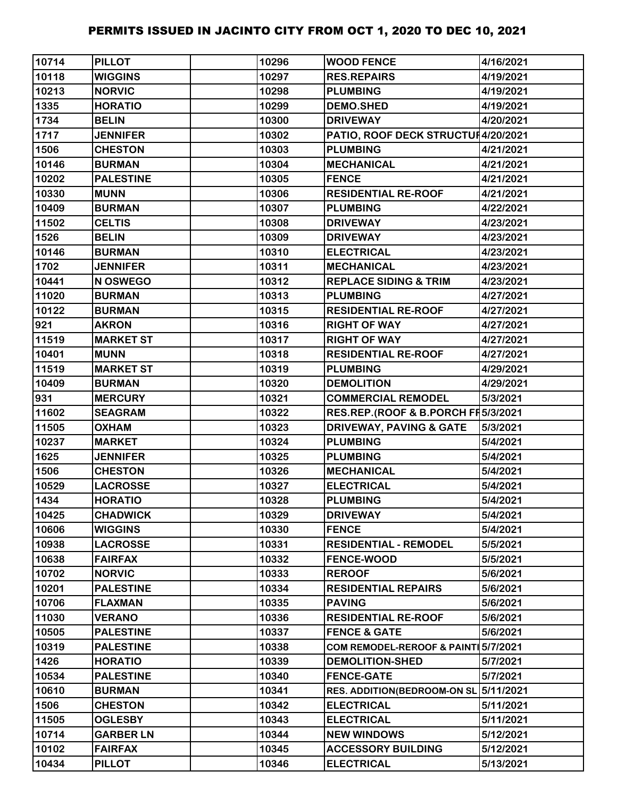| 10714 | <b>PILLOT</b>    | 10296 | <b>WOOD FENCE</b>                   | 4/16/2021 |
|-------|------------------|-------|-------------------------------------|-----------|
| 10118 | <b>WIGGINS</b>   | 10297 | <b>RES.REPAIRS</b>                  | 4/19/2021 |
| 10213 | <b>NORVIC</b>    | 10298 | <b>PLUMBING</b>                     | 4/19/2021 |
| 1335  | <b>HORATIO</b>   | 10299 | <b>DEMO.SHED</b>                    | 4/19/2021 |
| 1734  | <b>BELIN</b>     | 10300 | <b>DRIVEWAY</b>                     | 4/20/2021 |
| 1717  | <b>JENNIFER</b>  | 10302 | PATIO, ROOF DECK STRUCTUH4/20/2021  |           |
| 1506  | <b>CHESTON</b>   | 10303 | <b>PLUMBING</b>                     | 4/21/2021 |
| 10146 | <b>BURMAN</b>    | 10304 | <b>MECHANICAL</b>                   | 4/21/2021 |
| 10202 | <b>PALESTINE</b> | 10305 | <b>FENCE</b>                        | 4/21/2021 |
| 10330 | <b>MUNN</b>      | 10306 | <b>RESIDENTIAL RE-ROOF</b>          | 4/21/2021 |
| 10409 | <b>BURMAN</b>    | 10307 | <b>PLUMBING</b>                     | 4/22/2021 |
| 11502 | <b>CELTIS</b>    | 10308 | <b>DRIVEWAY</b>                     | 4/23/2021 |
| 1526  | <b>BELIN</b>     | 10309 | <b>DRIVEWAY</b>                     | 4/23/2021 |
| 10146 | <b>BURMAN</b>    | 10310 | <b>ELECTRICAL</b>                   | 4/23/2021 |
| 1702  | <b>JENNIFER</b>  | 10311 | <b>MECHANICAL</b>                   | 4/23/2021 |
| 10441 | N OSWEGO         | 10312 | <b>REPLACE SIDING &amp; TRIM</b>    | 4/23/2021 |
| 11020 | <b>BURMAN</b>    | 10313 | <b>PLUMBING</b>                     | 4/27/2021 |
| 10122 | <b>BURMAN</b>    | 10315 | <b>RESIDENTIAL RE-ROOF</b>          | 4/27/2021 |
| 921   | <b>AKRON</b>     | 10316 | <b>RIGHT OF WAY</b>                 | 4/27/2021 |
| 11519 | <b>MARKET ST</b> | 10317 | <b>RIGHT OF WAY</b>                 | 4/27/2021 |
| 10401 | <b>MUNN</b>      | 10318 | <b>RESIDENTIAL RE-ROOF</b>          | 4/27/2021 |
| 11519 | <b>MARKET ST</b> | 10319 | <b>PLUMBING</b>                     | 4/29/2021 |
| 10409 | <b>BURMAN</b>    | 10320 | <b>DEMOLITION</b>                   | 4/29/2021 |
| 931   | <b>MERCURY</b>   | 10321 | <b>COMMERCIAL REMODEL</b>           | 5/3/2021  |
| 11602 | <b>SEAGRAM</b>   | 10322 | RES.REP.(ROOF & B.PORCH FI5/3/2021  |           |
| 11505 | <b>OXHAM</b>     | 10323 | <b>DRIVEWAY, PAVING &amp; GATE</b>  | 5/3/2021  |
| 10237 | <b>MARKET</b>    | 10324 | <b>PLUMBING</b>                     | 5/4/2021  |
| 1625  | <b>JENNIFER</b>  | 10325 | <b>PLUMBING</b>                     | 5/4/2021  |
| 1506  | <b>CHESTON</b>   | 10326 | <b>MECHANICAL</b>                   | 5/4/2021  |
| 10529 | <b>LACROSSE</b>  | 10327 | <b>ELECTRICAL</b>                   | 5/4/2021  |
| 1434  | <b>HORATIO</b>   | 10328 | <b>PLUMBING</b>                     | 5/4/2021  |
| 10425 | <b>CHADWICK</b>  | 10329 | <b>DRIVEWAY</b>                     | 5/4/2021  |
| 10606 | <b>WIGGINS</b>   | 10330 | <b>FENCE</b>                        | 5/4/2021  |
| 10938 | <b>LACROSSE</b>  | 10331 | <b>RESIDENTIAL - REMODEL</b>        | 5/5/2021  |
| 10638 | <b>FAIRFAX</b>   | 10332 | <b>FENCE-WOOD</b>                   | 5/5/2021  |
| 10702 | <b>NORVIC</b>    | 10333 | <b>REROOF</b>                       | 5/6/2021  |
| 10201 | <b>PALESTINE</b> | 10334 | <b>RESIDENTIAL REPAIRS</b>          | 5/6/2021  |
| 10706 | <b>FLAXMAN</b>   | 10335 | <b>PAVING</b>                       | 5/6/2021  |
| 11030 | <b>VERANO</b>    | 10336 | <b>RESIDENTIAL RE-ROOF</b>          | 5/6/2021  |
| 10505 | <b>PALESTINE</b> | 10337 | <b>FENCE &amp; GATE</b>             | 5/6/2021  |
| 10319 | <b>PALESTINE</b> | 10338 | COM REMODEL-REROOF & PAINT 5/7/2021 |           |
| 1426  | <b>HORATIO</b>   | 10339 | <b>DEMOLITION-SHED</b>              | 5/7/2021  |
| 10534 | <b>PALESTINE</b> | 10340 | <b>FENCE-GATE</b>                   | 5/7/2021  |
| 10610 | <b>BURMAN</b>    | 10341 | <b>RES. ADDITION(BEDROOM-ON SL</b>  | 5/11/2021 |
| 1506  | <b>CHESTON</b>   | 10342 | <b>ELECTRICAL</b>                   | 5/11/2021 |
| 11505 | <b>OGLESBY</b>   | 10343 | <b>ELECTRICAL</b>                   | 5/11/2021 |
| 10714 | <b>GARBER LN</b> | 10344 | <b>NEW WINDOWS</b>                  | 5/12/2021 |
| 10102 | <b>FAIRFAX</b>   | 10345 | <b>ACCESSORY BUILDING</b>           | 5/12/2021 |
| 10434 | <b>PILLOT</b>    | 10346 | <b>ELECTRICAL</b>                   | 5/13/2021 |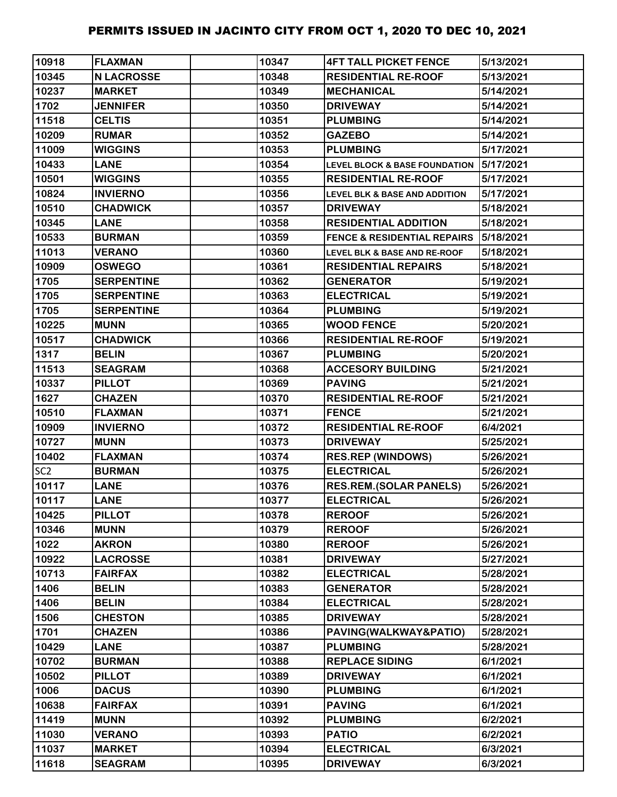| 10918           | <b>FLAXMAN</b>    | 10347 | <b>4FT TALL PICKET FENCE</b>             | 5/13/2021 |
|-----------------|-------------------|-------|------------------------------------------|-----------|
| 10345           | <b>N LACROSSE</b> | 10348 | <b>RESIDENTIAL RE-ROOF</b>               | 5/13/2021 |
| 10237           | <b>MARKET</b>     | 10349 | <b>MECHANICAL</b>                        | 5/14/2021 |
| 1702            | <b>JENNIFER</b>   | 10350 | <b>DRIVEWAY</b>                          | 5/14/2021 |
| 11518           | <b>CELTIS</b>     | 10351 | <b>PLUMBING</b>                          | 5/14/2021 |
| 10209           | <b>RUMAR</b>      | 10352 | <b>GAZEBO</b>                            | 5/14/2021 |
| 11009           | <b>WIGGINS</b>    | 10353 | <b>PLUMBING</b>                          | 5/17/2021 |
| 10433           | <b>LANE</b>       | 10354 | <b>LEVEL BLOCK &amp; BASE FOUNDATION</b> | 5/17/2021 |
| 10501           | <b>WIGGINS</b>    | 10355 | <b>RESIDENTIAL RE-ROOF</b>               | 5/17/2021 |
| 10824           | <b>INVIERNO</b>   | 10356 | <b>LEVEL BLK &amp; BASE AND ADDITION</b> | 5/17/2021 |
| 10510           | <b>CHADWICK</b>   | 10357 | <b>DRIVEWAY</b>                          | 5/18/2021 |
| 10345           | <b>LANE</b>       | 10358 | <b>RESIDENTIAL ADDITION</b>              | 5/18/2021 |
| 10533           | <b>BURMAN</b>     | 10359 | <b>FENCE &amp; RESIDENTIAL REPAIRS</b>   | 5/18/2021 |
| 11013           | <b>VERANO</b>     | 10360 | LEVEL BLK & BASE AND RE-ROOF             | 5/18/2021 |
| 10909           | <b>OSWEGO</b>     | 10361 | <b>RESIDENTIAL REPAIRS</b>               | 5/18/2021 |
| 1705            | <b>SERPENTINE</b> | 10362 | <b>GENERATOR</b>                         | 5/19/2021 |
| 1705            | <b>SERPENTINE</b> | 10363 | <b>ELECTRICAL</b>                        | 5/19/2021 |
| 1705            | <b>SERPENTINE</b> | 10364 | <b>PLUMBING</b>                          | 5/19/2021 |
| 10225           | <b>MUNN</b>       | 10365 | <b>WOOD FENCE</b>                        | 5/20/2021 |
| 10517           | <b>CHADWICK</b>   | 10366 | <b>RESIDENTIAL RE-ROOF</b>               | 5/19/2021 |
| 1317            | <b>BELIN</b>      | 10367 | <b>PLUMBING</b>                          | 5/20/2021 |
| 11513           | <b>SEAGRAM</b>    | 10368 | <b>ACCESORY BUILDING</b>                 | 5/21/2021 |
| 10337           | <b>PILLOT</b>     | 10369 | <b>PAVING</b>                            | 5/21/2021 |
| 1627            | <b>CHAZEN</b>     | 10370 | <b>RESIDENTIAL RE-ROOF</b>               | 5/21/2021 |
| 10510           | <b>FLAXMAN</b>    | 10371 | <b>FENCE</b>                             | 5/21/2021 |
| 10909           | <b>INVIERNO</b>   | 10372 | <b>RESIDENTIAL RE-ROOF</b>               | 6/4/2021  |
| 10727           | <b>MUNN</b>       | 10373 | <b>DRIVEWAY</b>                          | 5/25/2021 |
| 10402           | <b>FLAXMAN</b>    | 10374 | <b>RES.REP (WINDOWS)</b>                 | 5/26/2021 |
| SC <sub>2</sub> | <b>BURMAN</b>     | 10375 | <b>ELECTRICAL</b>                        | 5/26/2021 |
| 10117           | <b>LANE</b>       | 10376 | <b>RES.REM.(SOLAR PANELS)</b>            | 5/26/2021 |
| 10117           | <b>LANE</b>       | 10377 | <b>ELECTRICAL</b>                        | 5/26/2021 |
| 10425           | <b>PILLOT</b>     | 10378 | <b>REROOF</b>                            | 5/26/2021 |
| 10346           | <b>MUNN</b>       | 10379 | <b>REROOF</b>                            | 5/26/2021 |
| 1022            | <b>AKRON</b>      | 10380 | <b>REROOF</b>                            | 5/26/2021 |
| 10922           | <b>LACROSSE</b>   | 10381 | <b>DRIVEWAY</b>                          | 5/27/2021 |
| 10713           | <b>FAIRFAX</b>    | 10382 | <b>ELECTRICAL</b>                        | 5/28/2021 |
| 1406            | <b>BELIN</b>      | 10383 | <b>GENERATOR</b>                         | 5/28/2021 |
| 1406            | <b>BELIN</b>      | 10384 | <b>ELECTRICAL</b>                        | 5/28/2021 |
| 1506            | <b>CHESTON</b>    | 10385 | <b>DRIVEWAY</b>                          | 5/28/2021 |
| 1701            | <b>CHAZEN</b>     | 10386 | PAVING(WALKWAY&PATIO)                    | 5/28/2021 |
| 10429           | <b>LANE</b>       | 10387 | <b>PLUMBING</b>                          | 5/28/2021 |
| 10702           | <b>BURMAN</b>     | 10388 | <b>REPLACE SIDING</b>                    | 6/1/2021  |
| 10502           | <b>PILLOT</b>     | 10389 | <b>DRIVEWAY</b>                          | 6/1/2021  |
| 1006            | <b>DACUS</b>      | 10390 | <b>PLUMBING</b>                          | 6/1/2021  |
| 10638           | <b>FAIRFAX</b>    | 10391 | <b>PAVING</b>                            | 6/1/2021  |
| 11419           | <b>MUNN</b>       | 10392 | <b>PLUMBING</b>                          | 6/2/2021  |
| 11030           | <b>VERANO</b>     | 10393 | <b>PATIO</b>                             | 6/2/2021  |
| 11037           | <b>MARKET</b>     | 10394 | <b>ELECTRICAL</b>                        | 6/3/2021  |
| 11618           | <b>SEAGRAM</b>    | 10395 | <b>DRIVEWAY</b>                          | 6/3/2021  |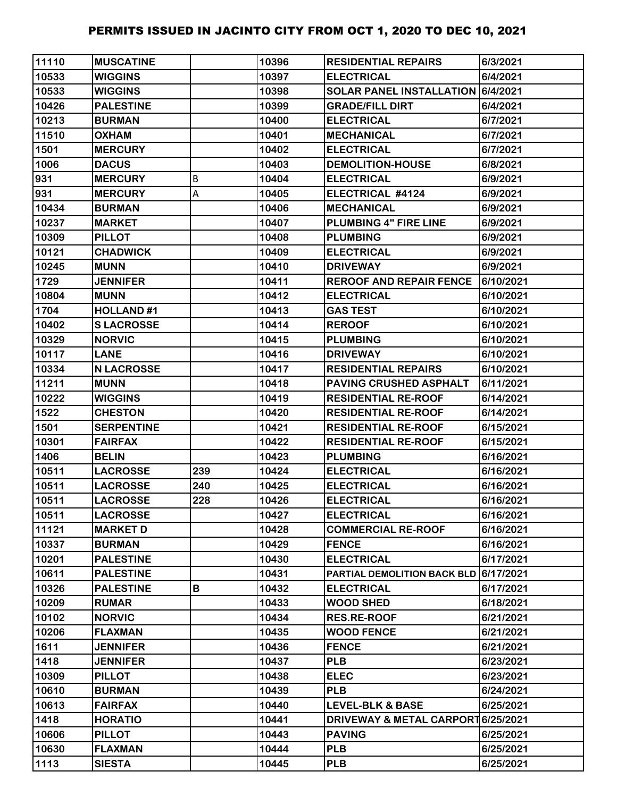| 11110 | <b>MUSCATINE</b>  |     | 10396 | <b>RESIDENTIAL REPAIRS</b>            | 6/3/2021  |
|-------|-------------------|-----|-------|---------------------------------------|-----------|
| 10533 | <b>WIGGINS</b>    |     | 10397 | <b>ELECTRICAL</b>                     | 6/4/2021  |
| 10533 | <b>WIGGINS</b>    |     | 10398 | SOLAR PANEL INSTALLATION 6/4/2021     |           |
| 10426 | <b>PALESTINE</b>  |     | 10399 | <b>GRADE/FILL DIRT</b>                | 6/4/2021  |
| 10213 | <b>BURMAN</b>     |     | 10400 | <b>ELECTRICAL</b>                     | 6/7/2021  |
| 11510 | <b>OXHAM</b>      |     | 10401 | <b>MECHANICAL</b>                     | 6/7/2021  |
| 1501  | <b>MERCURY</b>    |     | 10402 | <b>ELECTRICAL</b>                     | 6/7/2021  |
| 1006  | <b>DACUS</b>      |     | 10403 | <b>DEMOLITION-HOUSE</b>               | 6/8/2021  |
| 931   | <b>MERCURY</b>    | В   | 10404 | <b>ELECTRICAL</b>                     | 6/9/2021  |
| 931   | <b>MERCURY</b>    | А   | 10405 | ELECTRICAL #4124                      | 6/9/2021  |
| 10434 | <b>BURMAN</b>     |     | 10406 | <b>MECHANICAL</b>                     | 6/9/2021  |
| 10237 | <b>MARKET</b>     |     | 10407 | <b>PLUMBING 4" FIRE LINE</b>          | 6/9/2021  |
| 10309 | <b>PILLOT</b>     |     | 10408 | <b>PLUMBING</b>                       | 6/9/2021  |
| 10121 | <b>CHADWICK</b>   |     | 10409 | <b>ELECTRICAL</b>                     | 6/9/2021  |
| 10245 | <b>MUNN</b>       |     | 10410 | <b>DRIVEWAY</b>                       | 6/9/2021  |
| 1729  | <b>JENNIFER</b>   |     | 10411 | <b>REROOF AND REPAIR FENCE</b>        | 6/10/2021 |
| 10804 | <b>MUNN</b>       |     | 10412 | <b>ELECTRICAL</b>                     | 6/10/2021 |
| 1704  | <b>HOLLAND#1</b>  |     | 10413 | <b>GAS TEST</b>                       | 6/10/2021 |
| 10402 | <b>SLACROSSE</b>  |     | 10414 | <b>REROOF</b>                         | 6/10/2021 |
| 10329 | <b>NORVIC</b>     |     | 10415 | <b>PLUMBING</b>                       | 6/10/2021 |
| 10117 | <b>LANE</b>       |     | 10416 | <b>DRIVEWAY</b>                       | 6/10/2021 |
| 10334 | <b>N LACROSSE</b> |     | 10417 | <b>RESIDENTIAL REPAIRS</b>            | 6/10/2021 |
| 11211 | <b>MUNN</b>       |     | 10418 | PAVING CRUSHED ASPHALT                | 6/11/2021 |
| 10222 | <b>WIGGINS</b>    |     | 10419 | <b>RESIDENTIAL RE-ROOF</b>            | 6/14/2021 |
| 1522  | <b>CHESTON</b>    |     | 10420 | <b>RESIDENTIAL RE-ROOF</b>            | 6/14/2021 |
| 1501  | <b>SERPENTINE</b> |     | 10421 | <b>RESIDENTIAL RE-ROOF</b>            | 6/15/2021 |
| 10301 | <b>FAIRFAX</b>    |     | 10422 | <b>RESIDENTIAL RE-ROOF</b>            | 6/15/2021 |
| 1406  | <b>BELIN</b>      |     | 10423 | <b>PLUMBING</b>                       | 6/16/2021 |
| 10511 | <b>LACROSSE</b>   | 239 | 10424 | <b>ELECTRICAL</b>                     | 6/16/2021 |
| 10511 | <b>LACROSSE</b>   | 240 | 10425 | <b>ELECTRICAL</b>                     | 6/16/2021 |
| 10511 | <b>LACROSSE</b>   | 228 | 10426 | <b>ELECTRICAL</b>                     | 6/16/2021 |
| 10511 | <b>LACROSSE</b>   |     | 10427 | <b>ELECTRICAL</b>                     | 6/16/2021 |
| 11121 | <b>MARKET D</b>   |     | 10428 | <b>COMMERCIAL RE-ROOF</b>             | 6/16/2021 |
| 10337 | <b>BURMAN</b>     |     | 10429 | <b>FENCE</b>                          | 6/16/2021 |
| 10201 | <b>PALESTINE</b>  |     | 10430 | <b>ELECTRICAL</b>                     | 6/17/2021 |
| 10611 | <b>PALESTINE</b>  |     | 10431 | PARTIAL DEMOLITION BACK BLD 6/17/2021 |           |
| 10326 | <b>PALESTINE</b>  | В   | 10432 | <b>ELECTRICAL</b>                     | 6/17/2021 |
| 10209 | <b>RUMAR</b>      |     | 10433 | <b>WOOD SHED</b>                      | 6/18/2021 |
| 10102 | <b>NORVIC</b>     |     | 10434 | <b>RES.RE-ROOF</b>                    | 6/21/2021 |
| 10206 | <b>FLAXMAN</b>    |     | 10435 | <b>WOOD FENCE</b>                     | 6/21/2021 |
| 1611  | <b>JENNIFER</b>   |     | 10436 | <b>FENCE</b>                          | 6/21/2021 |
| 1418  | <b>JENNIFER</b>   |     | 10437 | <b>PLB</b>                            | 6/23/2021 |
| 10309 | <b>PILLOT</b>     |     | 10438 | <b>ELEC</b>                           | 6/23/2021 |
| 10610 | <b>BURMAN</b>     |     | 10439 | <b>PLB</b>                            | 6/24/2021 |
| 10613 | <b>FAIRFAX</b>    |     | 10440 | <b>LEVEL-BLK &amp; BASE</b>           | 6/25/2021 |
| 1418  | <b>HORATIO</b>    |     | 10441 | DRIVEWAY & METAL CARPORT 6/25/2021    |           |
| 10606 | <b>PILLOT</b>     |     | 10443 | <b>PAVING</b>                         | 6/25/2021 |
| 10630 | <b>FLAXMAN</b>    |     | 10444 | <b>PLB</b>                            | 6/25/2021 |
| 1113  | <b>SIESTA</b>     |     | 10445 | <b>PLB</b>                            | 6/25/2021 |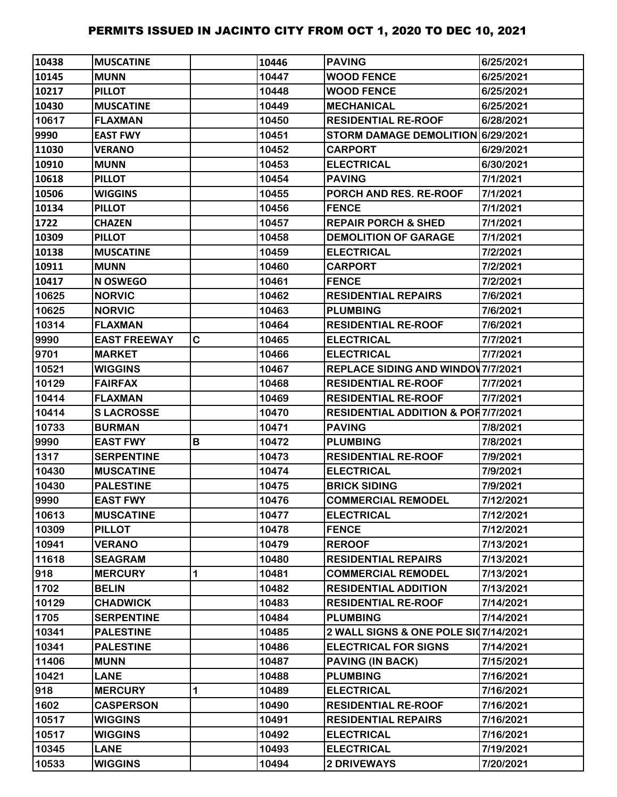| 10438 | <b>MUSCATINE</b>    |   | 10446 | <b>PAVING</b>                                 | 6/25/2021 |
|-------|---------------------|---|-------|-----------------------------------------------|-----------|
| 10145 | <b>MUNN</b>         |   | 10447 | <b>WOOD FENCE</b>                             | 6/25/2021 |
| 10217 | <b>PILLOT</b>       |   | 10448 | <b>WOOD FENCE</b>                             | 6/25/2021 |
| 10430 | <b>MUSCATINE</b>    |   | 10449 | <b>MECHANICAL</b>                             | 6/25/2021 |
| 10617 | <b>FLAXMAN</b>      |   | 10450 | <b>RESIDENTIAL RE-ROOF</b>                    | 6/28/2021 |
| 9990  | <b>EAST FWY</b>     |   | 10451 | STORM DAMAGE DEMOLITION 6/29/2021             |           |
| 11030 | <b>VERANO</b>       |   | 10452 | <b>CARPORT</b>                                | 6/29/2021 |
| 10910 | <b>MUNN</b>         |   | 10453 | <b>ELECTRICAL</b>                             | 6/30/2021 |
| 10618 | <b>PILLOT</b>       |   | 10454 | <b>PAVING</b>                                 | 7/1/2021  |
| 10506 | <b>WIGGINS</b>      |   | 10455 | PORCH AND RES. RE-ROOF                        | 7/1/2021  |
| 10134 | <b>PILLOT</b>       |   | 10456 | <b>FENCE</b>                                  | 7/1/2021  |
| 1722  | <b>CHAZEN</b>       |   | 10457 | <b>REPAIR PORCH &amp; SHED</b>                | 7/1/2021  |
| 10309 | <b>PILLOT</b>       |   | 10458 | <b>DEMOLITION OF GARAGE</b>                   | 7/1/2021  |
| 10138 | <b>MUSCATINE</b>    |   | 10459 | <b>ELECTRICAL</b>                             | 7/2/2021  |
| 10911 | <b>MUNN</b>         |   | 10460 | <b>CARPORT</b>                                | 7/2/2021  |
| 10417 | N OSWEGO            |   | 10461 | <b>FENCE</b>                                  | 7/2/2021  |
| 10625 | <b>NORVIC</b>       |   | 10462 | <b>RESIDENTIAL REPAIRS</b>                    | 7/6/2021  |
| 10625 | <b>NORVIC</b>       |   | 10463 | <b>PLUMBING</b>                               | 7/6/2021  |
| 10314 | <b>FLAXMAN</b>      |   | 10464 | <b>RESIDENTIAL RE-ROOF</b>                    | 7/6/2021  |
| 9990  | <b>EAST FREEWAY</b> | C | 10465 | <b>ELECTRICAL</b>                             | 7/7/2021  |
| 9701  | <b>MARKET</b>       |   | 10466 | <b>ELECTRICAL</b>                             | 7/7/2021  |
| 10521 | <b>WIGGINS</b>      |   | 10467 | <b>REPLACE SIDING AND WINDOV 7/7/2021</b>     |           |
| 10129 | <b>FAIRFAX</b>      |   | 10468 | <b>RESIDENTIAL RE-ROOF</b>                    | 7/7/2021  |
| 10414 | <b>FLAXMAN</b>      |   | 10469 | <b>RESIDENTIAL RE-ROOF</b>                    | 7/7/2021  |
| 10414 | <b>SLACROSSE</b>    |   | 10470 | <b>RESIDENTIAL ADDITION &amp; POR7/7/2021</b> |           |
| 10733 | <b>BURMAN</b>       |   | 10471 | <b>PAVING</b>                                 | 7/8/2021  |
| 9990  | <b>EAST FWY</b>     | B | 10472 | <b>PLUMBING</b>                               | 7/8/2021  |
| 1317  | <b>SERPENTINE</b>   |   | 10473 | <b>RESIDENTIAL RE-ROOF</b>                    | 7/9/2021  |
| 10430 | <b>MUSCATINE</b>    |   | 10474 | <b>ELECTRICAL</b>                             | 7/9/2021  |
| 10430 | <b>PALESTINE</b>    |   | 10475 | <b>BRICK SIDING</b>                           | 7/9/2021  |
| 9990  | <b>EAST FWY</b>     |   | 10476 | <b>COMMERCIAL REMODEL</b>                     | 7/12/2021 |
| 10613 | <b>MUSCATINE</b>    |   | 10477 | <b>ELECTRICAL</b>                             | 7/12/2021 |
| 10309 | <b>PILLOT</b>       |   | 10478 | <b>FENCE</b>                                  | 7/12/2021 |
| 10941 | <b>VERANO</b>       |   | 10479 | <b>REROOF</b>                                 | 7/13/2021 |
| 11618 | <b>SEAGRAM</b>      |   | 10480 | <b>RESIDENTIAL REPAIRS</b>                    | 7/13/2021 |
| 918   | <b>MERCURY</b>      | 1 | 10481 | <b>COMMERCIAL REMODEL</b>                     | 7/13/2021 |
| 1702  | <b>BELIN</b>        |   | 10482 | <b>RESIDENTIAL ADDITION</b>                   | 7/13/2021 |
| 10129 | <b>CHADWICK</b>     |   | 10483 | <b>RESIDENTIAL RE-ROOF</b>                    | 7/14/2021 |
| 1705  | <b>SERPENTINE</b>   |   | 10484 | <b>PLUMBING</b>                               | 7/14/2021 |
| 10341 | <b>PALESTINE</b>    |   | 10485 | 2 WALL SIGNS & ONE POLE SI07/14/2021          |           |
| 10341 | <b>PALESTINE</b>    |   | 10486 | <b>ELECTRICAL FOR SIGNS</b>                   | 7/14/2021 |
| 11406 | <b>MUNN</b>         |   | 10487 | <b>PAVING (IN BACK)</b>                       | 7/15/2021 |
| 10421 | <b>LANE</b>         |   | 10488 | <b>PLUMBING</b>                               | 7/16/2021 |
| 918   | <b>MERCURY</b>      | 1 | 10489 | <b>ELECTRICAL</b>                             | 7/16/2021 |
| 1602  | <b>CASPERSON</b>    |   | 10490 | <b>RESIDENTIAL RE-ROOF</b>                    | 7/16/2021 |
| 10517 | <b>WIGGINS</b>      |   | 10491 | <b>RESIDENTIAL REPAIRS</b>                    | 7/16/2021 |
| 10517 | <b>WIGGINS</b>      |   | 10492 | <b>ELECTRICAL</b>                             | 7/16/2021 |
| 10345 | <b>LANE</b>         |   | 10493 | <b>ELECTRICAL</b>                             | 7/19/2021 |
| 10533 | <b>WIGGINS</b>      |   | 10494 | <b>2 DRIVEWAYS</b>                            | 7/20/2021 |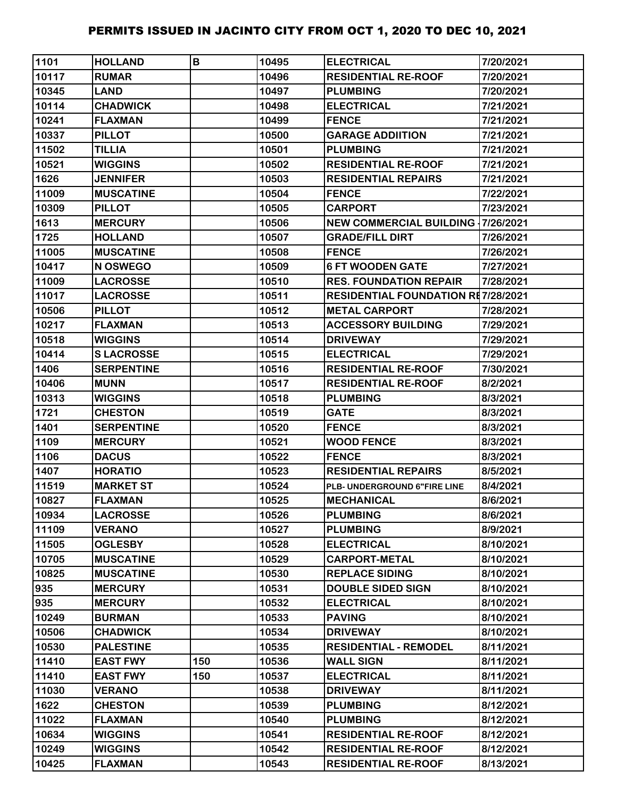| 1101  | <b>HOLLAND</b>    | B   | 10495 | <b>ELECTRICAL</b>                         | 7/20/2021 |
|-------|-------------------|-----|-------|-------------------------------------------|-----------|
| 10117 | <b>RUMAR</b>      |     | 10496 | <b>RESIDENTIAL RE-ROOF</b>                | 7/20/2021 |
| 10345 | <b>LAND</b>       |     | 10497 | <b>PLUMBING</b>                           | 7/20/2021 |
| 10114 | <b>CHADWICK</b>   |     | 10498 | <b>ELECTRICAL</b>                         | 7/21/2021 |
| 10241 | <b>FLAXMAN</b>    |     | 10499 | <b>FENCE</b>                              | 7/21/2021 |
| 10337 | <b>PILLOT</b>     |     | 10500 | <b>GARAGE ADDIITION</b>                   | 7/21/2021 |
| 11502 | <b>TILLIA</b>     |     | 10501 | <b>PLUMBING</b>                           | 7/21/2021 |
| 10521 | <b>WIGGINS</b>    |     | 10502 | <b>RESIDENTIAL RE-ROOF</b>                | 7/21/2021 |
| 1626  | <b>JENNIFER</b>   |     | 10503 | <b>RESIDENTIAL REPAIRS</b>                | 7/21/2021 |
| 11009 | <b>MUSCATINE</b>  |     | 10504 | <b>FENCE</b>                              | 7/22/2021 |
| 10309 | <b>PILLOT</b>     |     | 10505 | <b>CARPORT</b>                            | 7/23/2021 |
| 1613  | <b>MERCURY</b>    |     | 10506 | <b>NEW COMMERCIAL BUILDING 17/26/2021</b> |           |
| 1725  | <b>HOLLAND</b>    |     | 10507 | <b>GRADE/FILL DIRT</b>                    | 7/26/2021 |
| 11005 | <b>MUSCATINE</b>  |     | 10508 | <b>FENCE</b>                              | 7/26/2021 |
| 10417 | N OSWEGO          |     | 10509 | <b>6 FT WOODEN GATE</b>                   | 7/27/2021 |
| 11009 | <b>LACROSSE</b>   |     | 10510 | <b>RES. FOUNDATION REPAIR</b>             | 7/28/2021 |
| 11017 | <b>LACROSSE</b>   |     | 10511 | <b>RESIDENTIAL FOUNDATION RE7/28/2021</b> |           |
| 10506 | <b>PILLOT</b>     |     | 10512 | <b>METAL CARPORT</b>                      | 7/28/2021 |
| 10217 | <b>FLAXMAN</b>    |     | 10513 | <b>ACCESSORY BUILDING</b>                 | 7/29/2021 |
| 10518 | <b>WIGGINS</b>    |     | 10514 | <b>DRIVEWAY</b>                           | 7/29/2021 |
| 10414 | <b>SLACROSSE</b>  |     | 10515 | <b>ELECTRICAL</b>                         | 7/29/2021 |
| 1406  | <b>SERPENTINE</b> |     | 10516 | <b>RESIDENTIAL RE-ROOF</b>                | 7/30/2021 |
| 10406 | <b>MUNN</b>       |     | 10517 | <b>RESIDENTIAL RE-ROOF</b>                | 8/2/2021  |
| 10313 | <b>WIGGINS</b>    |     | 10518 | <b>PLUMBING</b>                           | 8/3/2021  |
| 1721  | <b>CHESTON</b>    |     | 10519 | <b>GATE</b>                               | 8/3/2021  |
| 1401  | <b>SERPENTINE</b> |     | 10520 | <b>FENCE</b>                              | 8/3/2021  |
| 1109  | <b>MERCURY</b>    |     | 10521 | <b>WOOD FENCE</b>                         | 8/3/2021  |
| 1106  | <b>DACUS</b>      |     | 10522 | <b>FENCE</b>                              | 8/3/2021  |
| 1407  | <b>HORATIO</b>    |     | 10523 | <b>RESIDENTIAL REPAIRS</b>                | 8/5/2021  |
| 11519 | <b>MARKET ST</b>  |     | 10524 | PLB- UNDERGROUND 6"FIRE LINE              | 8/4/2021  |
| 10827 | <b>FLAXMAN</b>    |     | 10525 | <b>IMECHANICAL</b>                        | 8/6/2021  |
| 10934 | <b>LACROSSE</b>   |     | 10526 | <b>PLUMBING</b>                           | 8/6/2021  |
| 11109 | <b>VERANO</b>     |     | 10527 | <b>PLUMBING</b>                           | 8/9/2021  |
| 11505 | <b>OGLESBY</b>    |     | 10528 | <b>ELECTRICAL</b>                         | 8/10/2021 |
| 10705 | <b>MUSCATINE</b>  |     | 10529 | <b>CARPORT-METAL</b>                      | 8/10/2021 |
| 10825 | <b>MUSCATINE</b>  |     | 10530 | <b>REPLACE SIDING</b>                     | 8/10/2021 |
| 935   | <b>MERCURY</b>    |     | 10531 | <b>DOUBLE SIDED SIGN</b>                  | 8/10/2021 |
| 935   | <b>MERCURY</b>    |     | 10532 | <b>ELECTRICAL</b>                         | 8/10/2021 |
| 10249 | <b>BURMAN</b>     |     | 10533 | <b>PAVING</b>                             | 8/10/2021 |
| 10506 | <b>CHADWICK</b>   |     | 10534 | <b>DRIVEWAY</b>                           | 8/10/2021 |
| 10530 | <b>PALESTINE</b>  |     | 10535 | <b>RESIDENTIAL - REMODEL</b>              | 8/11/2021 |
| 11410 | <b>EAST FWY</b>   | 150 | 10536 | <b>WALL SIGN</b>                          | 8/11/2021 |
| 11410 | <b>EAST FWY</b>   | 150 | 10537 | <b>ELECTRICAL</b>                         | 8/11/2021 |
| 11030 | <b>VERANO</b>     |     | 10538 | <b>DRIVEWAY</b>                           | 8/11/2021 |
| 1622  | <b>CHESTON</b>    |     | 10539 | <b>PLUMBING</b>                           | 8/12/2021 |
| 11022 | <b>FLAXMAN</b>    |     | 10540 | <b>PLUMBING</b>                           | 8/12/2021 |
| 10634 | <b>WIGGINS</b>    |     | 10541 | <b>RESIDENTIAL RE-ROOF</b>                | 8/12/2021 |
| 10249 | <b>WIGGINS</b>    |     | 10542 | <b>RESIDENTIAL RE-ROOF</b>                | 8/12/2021 |
| 10425 | <b>FLAXMAN</b>    |     | 10543 | <b>RESIDENTIAL RE-ROOF</b>                | 8/13/2021 |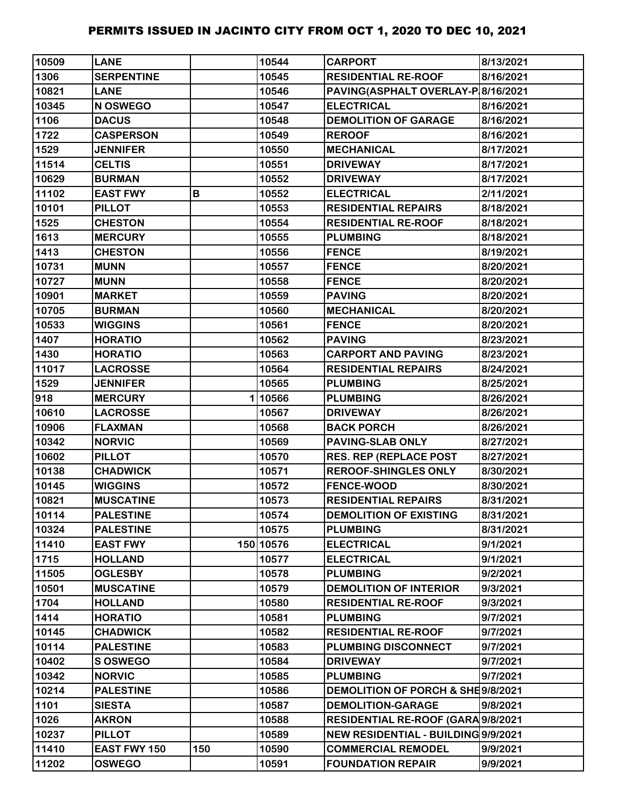| 10509 | <b>LANE</b>         |     | 10544     | <b>CARPORT</b>                      | 8/13/2021 |
|-------|---------------------|-----|-----------|-------------------------------------|-----------|
| 1306  | <b>SERPENTINE</b>   |     | 10545     | <b>RESIDENTIAL RE-ROOF</b>          | 8/16/2021 |
| 10821 | <b>LANE</b>         |     | 10546     | PAVING(ASPHALT OVERLAY-P 8/16/2021  |           |
| 10345 | N OSWEGO            |     | 10547     | <b>ELECTRICAL</b>                   | 8/16/2021 |
| 1106  | <b>DACUS</b>        |     | 10548     | <b>DEMOLITION OF GARAGE</b>         | 8/16/2021 |
| 1722  | <b>CASPERSON</b>    |     | 10549     | <b>REROOF</b>                       | 8/16/2021 |
| 1529  | <b>JENNIFER</b>     |     | 10550     | <b>MECHANICAL</b>                   | 8/17/2021 |
| 11514 | <b>CELTIS</b>       |     | 10551     | <b>DRIVEWAY</b>                     | 8/17/2021 |
| 10629 | <b>BURMAN</b>       |     | 10552     | <b>DRIVEWAY</b>                     | 8/17/2021 |
| 11102 | <b>EAST FWY</b>     | В   | 10552     | <b>ELECTRICAL</b>                   | 2/11/2021 |
| 10101 | <b>PILLOT</b>       |     | 10553     | <b>RESIDENTIAL REPAIRS</b>          | 8/18/2021 |
| 1525  | <b>CHESTON</b>      |     | 10554     | <b>RESIDENTIAL RE-ROOF</b>          | 8/18/2021 |
| 1613  | <b>MERCURY</b>      |     | 10555     | <b>PLUMBING</b>                     | 8/18/2021 |
| 1413  | <b>CHESTON</b>      |     | 10556     | <b>FENCE</b>                        | 8/19/2021 |
| 10731 | <b>MUNN</b>         |     | 10557     | <b>FENCE</b>                        | 8/20/2021 |
| 10727 | <b>MUNN</b>         |     | 10558     | <b>FENCE</b>                        | 8/20/2021 |
| 10901 | <b>MARKET</b>       |     | 10559     | <b>PAVING</b>                       | 8/20/2021 |
| 10705 | <b>BURMAN</b>       |     | 10560     | <b>MECHANICAL</b>                   | 8/20/2021 |
| 10533 | <b>WIGGINS</b>      |     | 10561     | <b>FENCE</b>                        | 8/20/2021 |
| 1407  | <b>HORATIO</b>      |     | 10562     | <b>PAVING</b>                       | 8/23/2021 |
| 1430  | <b>HORATIO</b>      |     | 10563     | <b>CARPORT AND PAVING</b>           | 8/23/2021 |
| 11017 | <b>LACROSSE</b>     |     | 10564     | <b>RESIDENTIAL REPAIRS</b>          | 8/24/2021 |
| 1529  | <b>JENNIFER</b>     |     | 10565     | <b>PLUMBING</b>                     | 8/25/2021 |
| 918   | <b>MERCURY</b>      |     | 110566    | <b>PLUMBING</b>                     | 8/26/2021 |
| 10610 | <b>LACROSSE</b>     |     | 10567     | <b>DRIVEWAY</b>                     | 8/26/2021 |
| 10906 | <b>FLAXMAN</b>      |     | 10568     | <b>BACK PORCH</b>                   | 8/26/2021 |
| 10342 | <b>NORVIC</b>       |     | 10569     | <b>PAVING-SLAB ONLY</b>             | 8/27/2021 |
| 10602 | <b>PILLOT</b>       |     | 10570     | <b>RES. REP (REPLACE POST</b>       | 8/27/2021 |
| 10138 | <b>CHADWICK</b>     |     | 10571     | <b>REROOF-SHINGLES ONLY</b>         | 8/30/2021 |
| 10145 | <b>WIGGINS</b>      |     | 10572     | <b>FENCE-WOOD</b>                   | 8/30/2021 |
| 10821 | <b>MUSCATINE</b>    |     | 10573     | <b>RESIDENTIAL REPAIRS</b>          | 8/31/2021 |
| 10114 | <b>PALESTINE</b>    |     | 10574     | <b>DEMOLITION OF EXISTING</b>       | 8/31/2021 |
| 10324 | <b>PALESTINE</b>    |     | 10575     | <b>PLUMBING</b>                     | 8/31/2021 |
| 11410 | <b>EAST FWY</b>     |     | 150 10576 | <b>ELECTRICAL</b>                   | 9/1/2021  |
| 1715  | <b>HOLLAND</b>      |     | 10577     | <b>ELECTRICAL</b>                   | 9/1/2021  |
| 11505 | <b>OGLESBY</b>      |     | 10578     | <b>PLUMBING</b>                     | 9/2/2021  |
| 10501 | <b>MUSCATINE</b>    |     | 10579     | <b>DEMOLITION OF INTERIOR</b>       | 9/3/2021  |
| 1704  | <b>HOLLAND</b>      |     | 10580     | <b>RESIDENTIAL RE-ROOF</b>          | 9/3/2021  |
| 1414  | <b>HORATIO</b>      |     | 10581     | <b>PLUMBING</b>                     | 9/7/2021  |
| 10145 | <b>CHADWICK</b>     |     | 10582     | <b>RESIDENTIAL RE-ROOF</b>          | 9/7/2021  |
| 10114 | <b>PALESTINE</b>    |     | 10583     | PLUMBING DISCONNECT                 | 9/7/2021  |
| 10402 | <b>S OSWEGO</b>     |     | 10584     | <b>DRIVEWAY</b>                     | 9/7/2021  |
| 10342 | <b>NORVIC</b>       |     | 10585     | <b>PLUMBING</b>                     | 9/7/2021  |
| 10214 | <b>PALESTINE</b>    |     | 10586     | DEMOLITION OF PORCH & SHE9/8/2021   |           |
| 1101  | <b>SIESTA</b>       |     | 10587     | <b>DEMOLITION-GARAGE</b>            | 9/8/2021  |
| 1026  | <b>AKRON</b>        |     | 10588     | RESIDENTIAL RE-ROOF (GARA 9/8/2021  |           |
| 10237 | <b>PILLOT</b>       |     | 10589     | NEW RESIDENTIAL - BUILDING 9/9/2021 |           |
| 11410 | <b>EAST FWY 150</b> | 150 | 10590     | <b>COMMERCIAL REMODEL</b>           | 9/9/2021  |
| 11202 | <b>OSWEGO</b>       |     | 10591     | <b>FOUNDATION REPAIR</b>            | 9/9/2021  |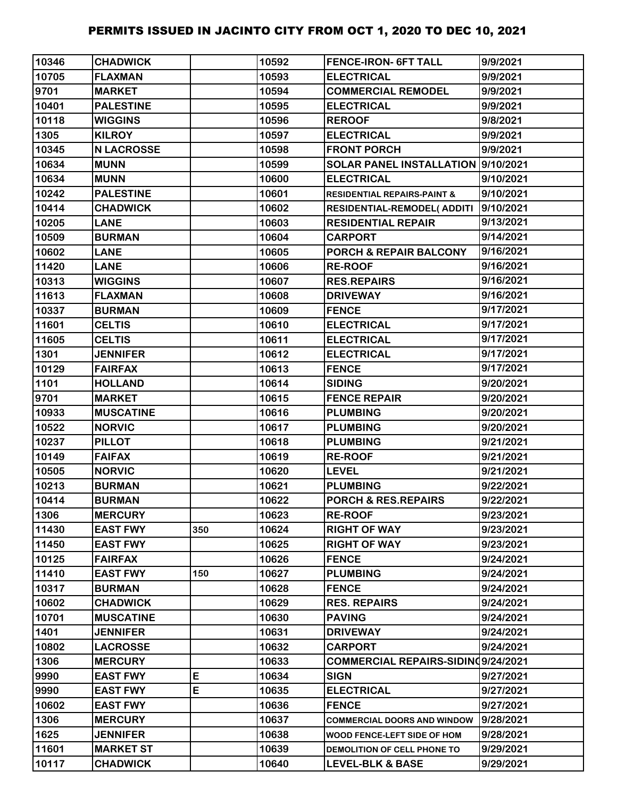| 10346 | <b>CHADWICK</b>   |     | 10592 | <b>FENCE-IRON- 6FT TALL</b>            | 9/9/2021  |
|-------|-------------------|-----|-------|----------------------------------------|-----------|
| 10705 | <b>FLAXMAN</b>    |     | 10593 | <b>ELECTRICAL</b>                      | 9/9/2021  |
| 9701  | <b>MARKET</b>     |     | 10594 | <b>COMMERCIAL REMODEL</b>              | 9/9/2021  |
| 10401 | <b>PALESTINE</b>  |     | 10595 | <b>ELECTRICAL</b>                      | 9/9/2021  |
| 10118 | <b>WIGGINS</b>    |     | 10596 | <b>REROOF</b>                          | 9/8/2021  |
| 1305  | <b>KILROY</b>     |     | 10597 | <b>ELECTRICAL</b>                      | 9/9/2021  |
| 10345 | <b>N LACROSSE</b> |     | 10598 | <b>FRONT PORCH</b>                     | 9/9/2021  |
| 10634 | <b>MUNN</b>       |     | 10599 | SOLAR PANEL INSTALLATION  9/10/2021    |           |
| 10634 | <b>MUNN</b>       |     | 10600 | <b>ELECTRICAL</b>                      | 9/10/2021 |
| 10242 | <b>PALESTINE</b>  |     | 10601 | <b>RESIDENTIAL REPAIRS-PAINT &amp;</b> | 9/10/2021 |
| 10414 | <b>CHADWICK</b>   |     | 10602 | RESIDENTIAL-REMODEL(ADDITI             | 9/10/2021 |
| 10205 | <b>LANE</b>       |     | 10603 | <b>RESIDENTIAL REPAIR</b>              | 9/13/2021 |
| 10509 | <b>BURMAN</b>     |     | 10604 | <b>CARPORT</b>                         | 9/14/2021 |
| 10602 | <b>LANE</b>       |     | 10605 | <b>PORCH &amp; REPAIR BALCONY</b>      | 9/16/2021 |
| 11420 | <b>LANE</b>       |     | 10606 | <b>RE-ROOF</b>                         | 9/16/2021 |
| 10313 | <b>WIGGINS</b>    |     | 10607 | <b>RES.REPAIRS</b>                     | 9/16/2021 |
| 11613 | <b>FLAXMAN</b>    |     | 10608 | <b>DRIVEWAY</b>                        | 9/16/2021 |
| 10337 | <b>BURMAN</b>     |     | 10609 | <b>FENCE</b>                           | 9/17/2021 |
| 11601 | <b>CELTIS</b>     |     | 10610 | <b>ELECTRICAL</b>                      | 9/17/2021 |
| 11605 | <b>CELTIS</b>     |     | 10611 | <b>ELECTRICAL</b>                      | 9/17/2021 |
| 1301  | <b>JENNIFER</b>   |     | 10612 | <b>ELECTRICAL</b>                      | 9/17/2021 |
| 10129 | <b>FAIRFAX</b>    |     | 10613 | <b>FENCE</b>                           | 9/17/2021 |
| 1101  | <b>HOLLAND</b>    |     | 10614 | <b>SIDING</b>                          | 9/20/2021 |
| 9701  | <b>MARKET</b>     |     | 10615 | <b>FENCE REPAIR</b>                    | 9/20/2021 |
| 10933 | <b>MUSCATINE</b>  |     | 10616 | <b>PLUMBING</b>                        | 9/20/2021 |
| 10522 | <b>NORVIC</b>     |     | 10617 | <b>PLUMBING</b>                        | 9/20/2021 |
| 10237 | <b>PILLOT</b>     |     | 10618 | <b>PLUMBING</b>                        | 9/21/2021 |
| 10149 | <b>FAIFAX</b>     |     | 10619 | <b>RE-ROOF</b>                         | 9/21/2021 |
| 10505 | <b>NORVIC</b>     |     | 10620 | <b>LEVEL</b>                           | 9/21/2021 |
| 10213 | <b>BURMAN</b>     |     | 10621 | <b>PLUMBING</b>                        | 9/22/2021 |
| 10414 | <b>BURMAN</b>     |     | 10622 | PORCH & RES.REPAIRS                    | 9/22/2021 |
| 1306  | <b>MERCURY</b>    |     | 10623 | <b>RE-ROOF</b>                         | 9/23/2021 |
| 11430 | <b>EAST FWY</b>   | 350 | 10624 | <b>RIGHT OF WAY</b>                    | 9/23/2021 |
| 11450 | <b>EAST FWY</b>   |     | 10625 | <b>RIGHT OF WAY</b>                    | 9/23/2021 |
| 10125 | <b>FAIRFAX</b>    |     | 10626 | <b>FENCE</b>                           | 9/24/2021 |
| 11410 | <b>EAST FWY</b>   | 150 | 10627 | <b>PLUMBING</b>                        | 9/24/2021 |
| 10317 | <b>BURMAN</b>     |     | 10628 | <b>FENCE</b>                           | 9/24/2021 |
| 10602 | <b>CHADWICK</b>   |     | 10629 | <b>RES. REPAIRS</b>                    | 9/24/2021 |
| 10701 | <b>MUSCATINE</b>  |     | 10630 | <b>PAVING</b>                          | 9/24/2021 |
| 1401  | <b>JENNIFER</b>   |     | 10631 | <b>DRIVEWAY</b>                        | 9/24/2021 |
| 10802 | <b>LACROSSE</b>   |     | 10632 | <b>CARPORT</b>                         | 9/24/2021 |
| 1306  | <b>MERCURY</b>    |     | 10633 | COMMERCIAL REPAIRS-SIDINQ9/24/2021     |           |
| 9990  | <b>EAST FWY</b>   | E   | 10634 | <b>SIGN</b>                            | 9/27/2021 |
| 9990  | <b>EAST FWY</b>   | E   | 10635 | <b>ELECTRICAL</b>                      | 9/27/2021 |
| 10602 | <b>EAST FWY</b>   |     | 10636 | <b>FENCE</b>                           | 9/27/2021 |
| 1306  | <b>MERCURY</b>    |     | 10637 | <b>COMMERCIAL DOORS AND WINDOW</b>     | 9/28/2021 |
| 1625  | <b>JENNIFER</b>   |     | 10638 | WOOD FENCE-LEFT SIDE OF HOM            | 9/28/2021 |
| 11601 | <b>MARKET ST</b>  |     | 10639 | DEMOLITION OF CELL PHONE TO            | 9/29/2021 |
| 10117 | <b>CHADWICK</b>   |     | 10640 | <b>LEVEL-BLK &amp; BASE</b>            | 9/29/2021 |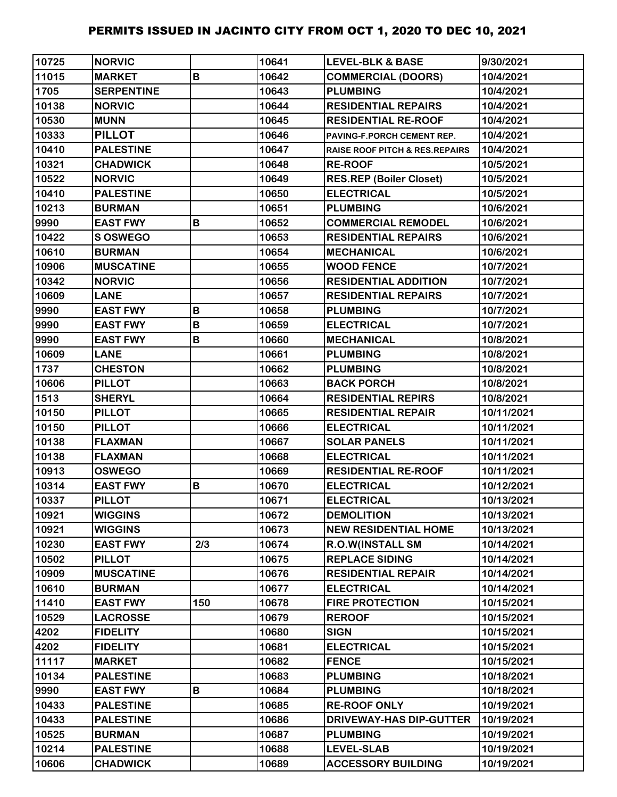| 10725 | <b>NORVIC</b>     |     | 10641 | <b>LEVEL-BLK &amp; BASE</b>               | 9/30/2021  |
|-------|-------------------|-----|-------|-------------------------------------------|------------|
| 11015 | <b>MARKET</b>     | B   | 10642 | <b>COMMERCIAL (DOORS)</b>                 | 10/4/2021  |
| 1705  | <b>SERPENTINE</b> |     | 10643 | <b>PLUMBING</b>                           | 10/4/2021  |
| 10138 | <b>NORVIC</b>     |     | 10644 | <b>RESIDENTIAL REPAIRS</b>                | 10/4/2021  |
| 10530 | <b>MUNN</b>       |     | 10645 | <b>RESIDENTIAL RE-ROOF</b>                | 10/4/2021  |
| 10333 | <b>PILLOT</b>     |     | 10646 | PAVING-F.PORCH CEMENT REP.                | 10/4/2021  |
| 10410 | <b>PALESTINE</b>  |     | 10647 | <b>RAISE ROOF PITCH &amp; RES.REPAIRS</b> | 10/4/2021  |
| 10321 | <b>CHADWICK</b>   |     | 10648 | <b>RE-ROOF</b>                            | 10/5/2021  |
| 10522 | <b>NORVIC</b>     |     | 10649 | <b>RES.REP (Boiler Closet)</b>            | 10/5/2021  |
| 10410 | <b>PALESTINE</b>  |     | 10650 | <b>ELECTRICAL</b>                         | 10/5/2021  |
| 10213 | <b>BURMAN</b>     |     | 10651 | <b>PLUMBING</b>                           | 10/6/2021  |
| 9990  | <b>EAST FWY</b>   | B   | 10652 | <b>COMMERCIAL REMODEL</b>                 | 10/6/2021  |
| 10422 | <b>S OSWEGO</b>   |     | 10653 | <b>RESIDENTIAL REPAIRS</b>                | 10/6/2021  |
| 10610 | <b>BURMAN</b>     |     | 10654 | <b>MECHANICAL</b>                         | 10/6/2021  |
| 10906 | <b>MUSCATINE</b>  |     | 10655 | <b>WOOD FENCE</b>                         | 10/7/2021  |
| 10342 | <b>NORVIC</b>     |     | 10656 | <b>RESIDENTIAL ADDITION</b>               | 10/7/2021  |
| 10609 | <b>LANE</b>       |     | 10657 | <b>RESIDENTIAL REPAIRS</b>                | 10/7/2021  |
| 9990  | <b>EAST FWY</b>   | B   | 10658 | <b>PLUMBING</b>                           | 10/7/2021  |
| 9990  | <b>EAST FWY</b>   | B   | 10659 | <b>ELECTRICAL</b>                         | 10/7/2021  |
| 9990  | <b>EAST FWY</b>   | B   | 10660 | <b>MECHANICAL</b>                         | 10/8/2021  |
| 10609 | <b>LANE</b>       |     | 10661 | <b>PLUMBING</b>                           | 10/8/2021  |
| 1737  | <b>CHESTON</b>    |     | 10662 | <b>PLUMBING</b>                           | 10/8/2021  |
| 10606 | <b>PILLOT</b>     |     | 10663 | <b>BACK PORCH</b>                         | 10/8/2021  |
| 1513  | <b>SHERYL</b>     |     | 10664 | <b>RESIDENTIAL REPIRS</b>                 | 10/8/2021  |
| 10150 | <b>PILLOT</b>     |     | 10665 | <b>RESIDENTIAL REPAIR</b>                 | 10/11/2021 |
| 10150 | <b>PILLOT</b>     |     | 10666 | <b>ELECTRICAL</b>                         | 10/11/2021 |
| 10138 | <b>FLAXMAN</b>    |     | 10667 | <b>SOLAR PANELS</b>                       | 10/11/2021 |
| 10138 | <b>FLAXMAN</b>    |     | 10668 | <b>ELECTRICAL</b>                         | 10/11/2021 |
| 10913 | <b>OSWEGO</b>     |     | 10669 | <b>RESIDENTIAL RE-ROOF</b>                | 10/11/2021 |
| 10314 | <b>EAST FWY</b>   | B   | 10670 | <b>ELECTRICAL</b>                         | 10/12/2021 |
| 10337 | <b>PILLOT</b>     |     | 10671 | <b>ELECTRICAL</b>                         | 10/13/2021 |
| 10921 | <b>WIGGINS</b>    |     | 10672 | <b>DEMOLITION</b>                         | 10/13/2021 |
| 10921 | <b>WIGGINS</b>    |     | 10673 | <b>NEW RESIDENTIAL HOME</b>               | 10/13/2021 |
| 10230 | <b>EAST FWY</b>   | 2/3 | 10674 | <b>R.O.W(INSTALL SM</b>                   | 10/14/2021 |
| 10502 | <b>PILLOT</b>     |     | 10675 | <b>REPLACE SIDING</b>                     | 10/14/2021 |
| 10909 | <b>MUSCATINE</b>  |     | 10676 | <b>RESIDENTIAL REPAIR</b>                 | 10/14/2021 |
| 10610 | <b>BURMAN</b>     |     | 10677 | <b>ELECTRICAL</b>                         | 10/14/2021 |
| 11410 | <b>EAST FWY</b>   | 150 | 10678 | <b>FIRE PROTECTION</b>                    | 10/15/2021 |
| 10529 | <b>LACROSSE</b>   |     | 10679 | <b>REROOF</b>                             | 10/15/2021 |
| 4202  | <b>FIDELITY</b>   |     | 10680 | <b>SIGN</b>                               | 10/15/2021 |
| 4202  | <b>FIDELITY</b>   |     | 10681 | <b>ELECTRICAL</b>                         | 10/15/2021 |
| 11117 | <b>MARKET</b>     |     | 10682 | <b>FENCE</b>                              | 10/15/2021 |
| 10134 | <b>PALESTINE</b>  |     | 10683 | <b>PLUMBING</b>                           | 10/18/2021 |
| 9990  | <b>EAST FWY</b>   | B   | 10684 | <b>PLUMBING</b>                           | 10/18/2021 |
| 10433 | <b>PALESTINE</b>  |     | 10685 | <b>RE-ROOF ONLY</b>                       | 10/19/2021 |
| 10433 | <b>PALESTINE</b>  |     | 10686 | <b>DRIVEWAY-HAS DIP-GUTTER</b>            | 10/19/2021 |
| 10525 | <b>BURMAN</b>     |     | 10687 | <b>PLUMBING</b>                           | 10/19/2021 |
| 10214 | <b>PALESTINE</b>  |     | 10688 | <b>LEVEL-SLAB</b>                         | 10/19/2021 |
| 10606 | <b>CHADWICK</b>   |     | 10689 | <b>ACCESSORY BUILDING</b>                 | 10/19/2021 |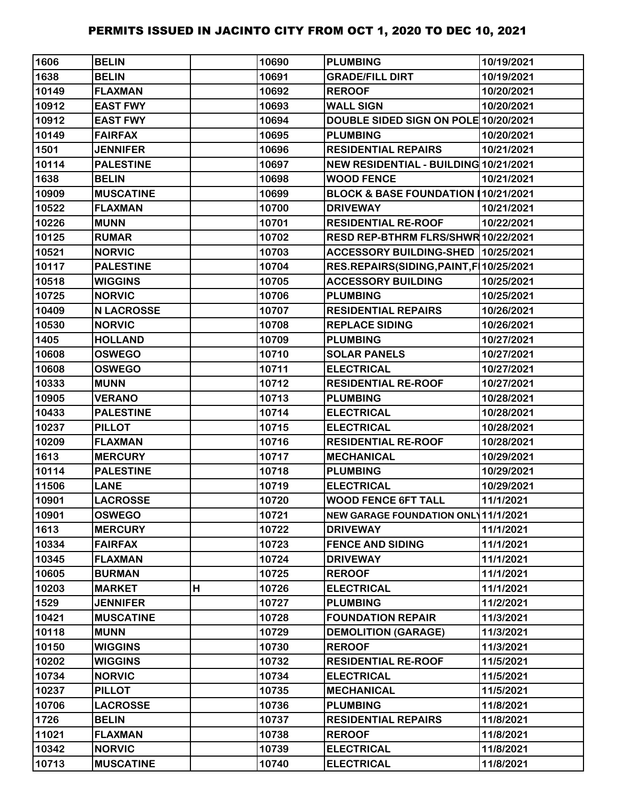| 1606  | <b>BELIN</b>      |   | 10690 | <b>PLUMBING</b>                            | 10/19/2021 |
|-------|-------------------|---|-------|--------------------------------------------|------------|
| 1638  | <b>BELIN</b>      |   | 10691 | <b>GRADE/FILL DIRT</b>                     | 10/19/2021 |
| 10149 | <b>FLAXMAN</b>    |   | 10692 | <b>REROOF</b>                              | 10/20/2021 |
| 10912 | <b>EAST FWY</b>   |   | 10693 | <b>WALL SIGN</b>                           | 10/20/2021 |
| 10912 | <b>EAST FWY</b>   |   | 10694 | DOUBLE SIDED SIGN ON POLE 10/20/2021       |            |
| 10149 | <b>FAIRFAX</b>    |   | 10695 | <b>PLUMBING</b>                            | 10/20/2021 |
| 1501  | <b>JENNIFER</b>   |   | 10696 | <b>RESIDENTIAL REPAIRS</b>                 | 10/21/2021 |
| 10114 | <b>PALESTINE</b>  |   | 10697 | NEW RESIDENTIAL - BUILDING 10/21/2021      |            |
| 1638  | <b>BELIN</b>      |   | 10698 | <b>WOOD FENCE</b>                          | 10/21/2021 |
| 10909 | <b>MUSCATINE</b>  |   | 10699 | BLOCK & BASE FOUNDATION (10/21/2021        |            |
| 10522 | <b>FLAXMAN</b>    |   | 10700 | <b>DRIVEWAY</b>                            | 10/21/2021 |
| 10226 | <b>MUNN</b>       |   | 10701 | <b>RESIDENTIAL RE-ROOF</b>                 | 10/22/2021 |
| 10125 | <b>RUMAR</b>      |   | 10702 | RESD REP-BTHRM FLRS/SHWR 10/22/2021        |            |
| 10521 | <b>NORVIC</b>     |   | 10703 | ACCESSORY BUILDING-SHED 10/25/2021         |            |
| 10117 | <b>PALESTINE</b>  |   | 10704 | RES.REPAIRS(SIDING, PAINT, F 10/25/2021    |            |
| 10518 | <b>WIGGINS</b>    |   | 10705 | <b>ACCESSORY BUILDING</b>                  | 10/25/2021 |
| 10725 | <b>NORVIC</b>     |   | 10706 | <b>PLUMBING</b>                            | 10/25/2021 |
| 10409 | <b>N LACROSSE</b> |   | 10707 | <b>RESIDENTIAL REPAIRS</b>                 | 10/26/2021 |
| 10530 | <b>NORVIC</b>     |   | 10708 | <b>REPLACE SIDING</b>                      | 10/26/2021 |
| 1405  | <b>HOLLAND</b>    |   | 10709 | <b>PLUMBING</b>                            | 10/27/2021 |
| 10608 | <b>OSWEGO</b>     |   | 10710 | <b>SOLAR PANELS</b>                        | 10/27/2021 |
| 10608 | <b>OSWEGO</b>     |   | 10711 | <b>ELECTRICAL</b>                          | 10/27/2021 |
| 10333 | <b>MUNN</b>       |   | 10712 | <b>RESIDENTIAL RE-ROOF</b>                 | 10/27/2021 |
| 10905 | <b>VERANO</b>     |   | 10713 | <b>PLUMBING</b>                            | 10/28/2021 |
| 10433 | <b>PALESTINE</b>  |   | 10714 | <b>ELECTRICAL</b>                          | 10/28/2021 |
| 10237 | <b>PILLOT</b>     |   | 10715 | <b>ELECTRICAL</b>                          | 10/28/2021 |
| 10209 | <b>FLAXMAN</b>    |   | 10716 | <b>RESIDENTIAL RE-ROOF</b>                 | 10/28/2021 |
| 1613  | <b>MERCURY</b>    |   | 10717 | <b>MECHANICAL</b>                          | 10/29/2021 |
| 10114 | <b>PALESTINE</b>  |   | 10718 | <b>PLUMBING</b>                            | 10/29/2021 |
| 11506 | <b>LANE</b>       |   | 10719 | <b>ELECTRICAL</b>                          | 10/29/2021 |
| 10901 | <b>LACROSSE</b>   |   | 10720 | <b>WOOD FENCE 6FT TALL</b>                 | 11/1/2021  |
| 10901 | <b>OSWEGO</b>     |   | 10721 | <b>NEW GARAGE FOUNDATION ONL 11/1/2021</b> |            |
| 1613  | <b>MERCURY</b>    |   | 10722 | <b>DRIVEWAY</b>                            | 11/1/2021  |
| 10334 | <b>FAIRFAX</b>    |   | 10723 | <b>FENCE AND SIDING</b>                    | 11/1/2021  |
| 10345 | <b>FLAXMAN</b>    |   | 10724 | <b>DRIVEWAY</b>                            | 11/1/2021  |
| 10605 | <b>BURMAN</b>     |   | 10725 | <b>REROOF</b>                              | 11/1/2021  |
| 10203 | <b>MARKET</b>     | н | 10726 | <b>ELECTRICAL</b>                          | 11/1/2021  |
| 1529  | <b>JENNIFER</b>   |   | 10727 | <b>PLUMBING</b>                            | 11/2/2021  |
| 10421 | <b>MUSCATINE</b>  |   | 10728 | <b>FOUNDATION REPAIR</b>                   | 11/3/2021  |
| 10118 | <b>MUNN</b>       |   | 10729 | <b>DEMOLITION (GARAGE)</b>                 | 11/3/2021  |
| 10150 | <b>WIGGINS</b>    |   | 10730 | <b>REROOF</b>                              | 11/3/2021  |
| 10202 | <b>WIGGINS</b>    |   | 10732 | <b>RESIDENTIAL RE-ROOF</b>                 | 11/5/2021  |
| 10734 | <b>NORVIC</b>     |   | 10734 | <b>ELECTRICAL</b>                          | 11/5/2021  |
| 10237 | <b>PILLOT</b>     |   | 10735 | <b>MECHANICAL</b>                          | 11/5/2021  |
| 10706 | <b>LACROSSE</b>   |   | 10736 | <b>PLUMBING</b>                            | 11/8/2021  |
| 1726  | <b>BELIN</b>      |   | 10737 | <b>RESIDENTIAL REPAIRS</b>                 | 11/8/2021  |
| 11021 | <b>FLAXMAN</b>    |   | 10738 | <b>REROOF</b>                              | 11/8/2021  |
| 10342 | <b>NORVIC</b>     |   | 10739 | <b>ELECTRICAL</b>                          | 11/8/2021  |
| 10713 | <b>MUSCATINE</b>  |   | 10740 | <b>ELECTRICAL</b>                          | 11/8/2021  |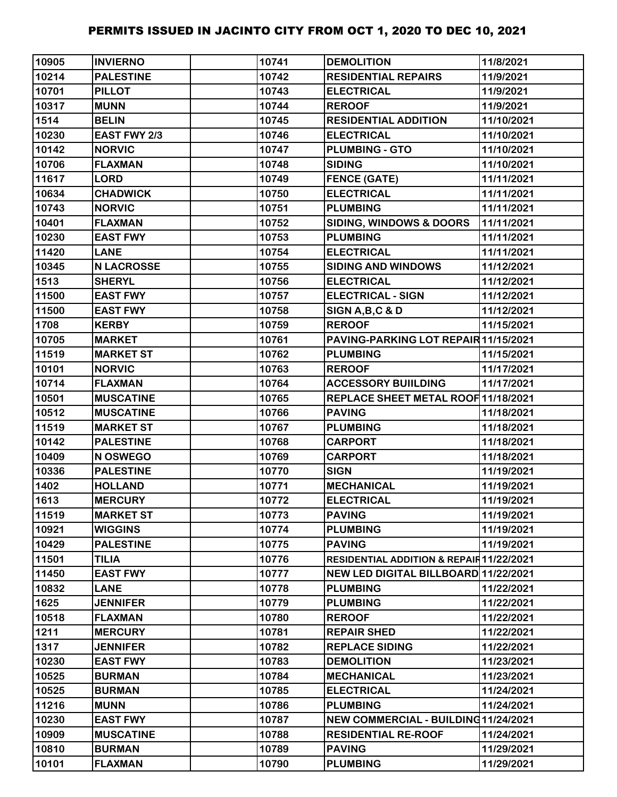| 10905 | <b>INVIERNO</b>   | 10741 | <b>DEMOLITION</b>                        | 11/8/2021  |
|-------|-------------------|-------|------------------------------------------|------------|
| 10214 | <b>PALESTINE</b>  | 10742 | <b>RESIDENTIAL REPAIRS</b>               | 11/9/2021  |
| 10701 | <b>PILLOT</b>     | 10743 | <b>ELECTRICAL</b>                        | 11/9/2021  |
| 10317 | <b>MUNN</b>       | 10744 | <b>REROOF</b>                            | 11/9/2021  |
| 1514  | <b>BELIN</b>      | 10745 | <b>RESIDENTIAL ADDITION</b>              | 11/10/2021 |
| 10230 | EAST FWY 2/3      | 10746 | <b>ELECTRICAL</b>                        | 11/10/2021 |
| 10142 | <b>NORVIC</b>     | 10747 | <b>PLUMBING - GTO</b>                    | 11/10/2021 |
| 10706 | <b>FLAXMAN</b>    | 10748 | <b>SIDING</b>                            | 11/10/2021 |
| 11617 | <b>LORD</b>       | 10749 | <b>FENCE (GATE)</b>                      | 11/11/2021 |
| 10634 | <b>CHADWICK</b>   | 10750 | <b>ELECTRICAL</b>                        | 11/11/2021 |
| 10743 | <b>NORVIC</b>     | 10751 | <b>PLUMBING</b>                          | 11/11/2021 |
| 10401 | <b>FLAXMAN</b>    | 10752 | <b>SIDING, WINDOWS &amp; DOORS</b>       | 11/11/2021 |
| 10230 | <b>EAST FWY</b>   | 10753 | <b>PLUMBING</b>                          | 11/11/2021 |
| 11420 | <b>LANE</b>       | 10754 | <b>ELECTRICAL</b>                        | 11/11/2021 |
| 10345 | <b>N LACROSSE</b> | 10755 | <b>SIDING AND WINDOWS</b>                | 11/12/2021 |
| 1513  | <b>SHERYL</b>     | 10756 | <b>ELECTRICAL</b>                        | 11/12/2021 |
| 11500 | <b>EAST FWY</b>   | 10757 | <b>ELECTRICAL - SIGN</b>                 | 11/12/2021 |
| 11500 | <b>EAST FWY</b>   | 10758 | SIGN A, B, C & D                         | 11/12/2021 |
| 1708  | <b>KERBY</b>      | 10759 | <b>REROOF</b>                            | 11/15/2021 |
| 10705 | <b>MARKET</b>     | 10761 | PAVING-PARKING LOT REPAIR 11/15/2021     |            |
| 11519 | <b>MARKET ST</b>  | 10762 | <b>PLUMBING</b>                          | 11/15/2021 |
| 10101 | <b>NORVIC</b>     | 10763 | <b>REROOF</b>                            | 11/17/2021 |
| 10714 | <b>FLAXMAN</b>    | 10764 | <b>ACCESSORY BUIILDING</b>               | 11/17/2021 |
| 10501 | <b>MUSCATINE</b>  | 10765 | REPLACE SHEET METAL ROOF 11/18/2021      |            |
| 10512 | <b>MUSCATINE</b>  | 10766 | <b>PAVING</b>                            | 11/18/2021 |
| 11519 | <b>MARKET ST</b>  | 10767 | <b>PLUMBING</b>                          | 11/18/2021 |
| 10142 | <b>PALESTINE</b>  | 10768 | <b>CARPORT</b>                           | 11/18/2021 |
| 10409 | N OSWEGO          | 10769 | <b>CARPORT</b>                           | 11/18/2021 |
| 10336 | <b>PALESTINE</b>  | 10770 | <b>SIGN</b>                              | 11/19/2021 |
| 1402  | <b>HOLLAND</b>    | 10771 | <b>MECHANICAL</b>                        | 11/19/2021 |
| 1613  | <b>MERCURY</b>    | 10772 | <b>ELECTRICAL</b>                        | 11/19/2021 |
| 11519 | <b>MARKET ST</b>  | 10773 | <b>PAVING</b>                            | 11/19/2021 |
| 10921 | <b>WIGGINS</b>    | 10774 | <b>PLUMBING</b>                          | 11/19/2021 |
| 10429 | <b>PALESTINE</b>  | 10775 | <b>PAVING</b>                            | 11/19/2021 |
| 11501 | <b>TILIA</b>      | 10776 | RESIDENTIAL ADDITION & REPAIR 11/22/2021 |            |
| 11450 | <b>EAST FWY</b>   | 10777 | NEW LED DIGITAL BILLBOARD 11/22/2021     |            |
| 10832 | <b>LANE</b>       | 10778 | <b>PLUMBING</b>                          | 11/22/2021 |
| 1625  | <b>JENNIFER</b>   | 10779 | <b>PLUMBING</b>                          | 11/22/2021 |
| 10518 | <b>FLAXMAN</b>    | 10780 | <b>REROOF</b>                            | 11/22/2021 |
| 1211  | <b>MERCURY</b>    | 10781 | <b>REPAIR SHED</b>                       | 11/22/2021 |
| 1317  | <b>JENNIFER</b>   | 10782 | <b>REPLACE SIDING</b>                    | 11/22/2021 |
| 10230 | <b>EAST FWY</b>   | 10783 | <b>DEMOLITION</b>                        | 11/23/2021 |
| 10525 | <b>BURMAN</b>     | 10784 | <b>MECHANICAL</b>                        | 11/23/2021 |
| 10525 | <b>BURMAN</b>     | 10785 | <b>ELECTRICAL</b>                        | 11/24/2021 |
| 11216 | <b>MUNN</b>       | 10786 | <b>PLUMBING</b>                          | 11/24/2021 |
| 10230 | <b>EAST FWY</b>   | 10787 | NEW COMMERCIAL - BUILDING11/24/2021      |            |
| 10909 | <b>MUSCATINE</b>  | 10788 | <b>RESIDENTIAL RE-ROOF</b>               | 11/24/2021 |
| 10810 | <b>BURMAN</b>     | 10789 | <b>PAVING</b>                            | 11/29/2021 |
| 10101 | <b>FLAXMAN</b>    | 10790 | <b>PLUMBING</b>                          | 11/29/2021 |